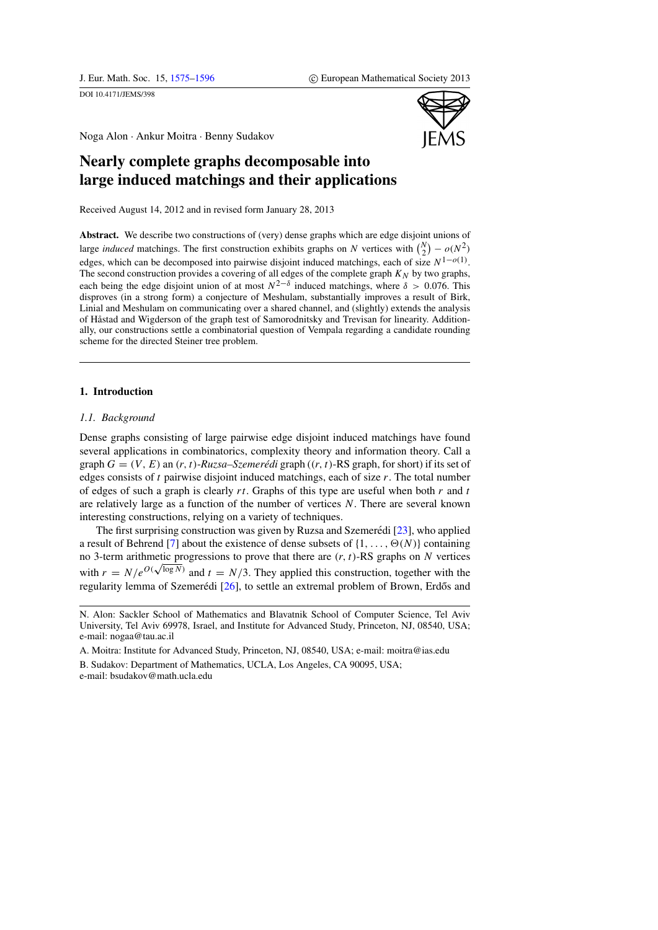<span id="page-0-0"></span>DOI 10.4171/JEMS/398



Noga Alon · Ankur Moitra · Benny Sudakov

# Nearly complete graphs decomposable into large induced matchings and their applications

Received August 14, 2012 and in revised form January 28, 2013

Abstract. We describe two constructions of (very) dense graphs which are edge disjoint unions of large *induced* matchings. The first construction exhibits graphs on N vertices with  $\binom{N}{2} - o(N^2)$ edges, which can be decomposed into pairwise disjoint induced matchings, each of size  $N^{1-o(1)}$ . The second construction provides a covering of all edges of the complete graph  $K_N$  by two graphs, each being the edge disjoint union of at most  $N^{2-\delta}$  induced matchings, where  $\delta > 0.076$ . This disproves (in a strong form) a conjecture of Meshulam, substantially improves a result of Birk, Linial and Meshulam on communicating over a shared channel, and (slightly) extends the analysis of Håstad and Wigderson of the graph test of Samorodnitsky and Trevisan for linearity. Additionally, our constructions settle a combinatorial question of Vempala regarding a candidate rounding scheme for the directed Steiner tree problem.

# 1. Introduction

#### *1.1. Background*

Dense graphs consisting of large pairwise edge disjoint induced matchings have found several applications in combinatorics, complexity theory and information theory. Call a graph  $G = (V, E)$  an  $(r, t)$ -*Ruzsa–Szemerédi* graph  $((r, t)$ -RS graph, for short) if its set of edges consists of  $t$  pairwise disjoint induced matchings, each of size  $r$ . The total number of edges of such a graph is clearly  $rt$ . Graphs of this type are useful when both  $r$  and  $t$ are relatively large as a function of the number of vertices N. There are several known interesting constructions, relying on a variety of techniques.

The first surprising construction was given by Ruzsa and Szemerédi  $[23]$  $[23]$ , who applied a result of Behrend [\[7\]](#page-20-0) about the existence of dense subsets of  $\{1, \ldots, \Theta(N)\}\$  containing no 3-term arithmetic progressions to prove that there are  $(r, t)$ -RS graphs on N vertices no 3-term arithmetic progressions to prove that there are  $(r, t)$ -KS graphs on N vertices<br>with  $r = N/e^{O(\sqrt{\log N})}$  and  $t = N/3$ . They applied this construction, together with the regularity lemma of Szemerédi [[26\]](#page-21-2), to settle an extremal problem of Brown, Erdős and

N. Alon: Sackler School of Mathematics and Blavatnik School of Computer Science, Tel Aviv University, Tel Aviv 69978, Israel, and Institute for Advanced Study, Princeton, NJ, 08540, USA; e-mail: nogaa@tau.ac.il

A. Moitra: Institute for Advanced Study, Princeton, NJ, 08540, USA; e-mail: moitra@ias.edu B. Sudakov: Department of Mathematics, UCLA, Los Angeles, CA 90095, USA; e-mail: bsudakov@math.ucla.edu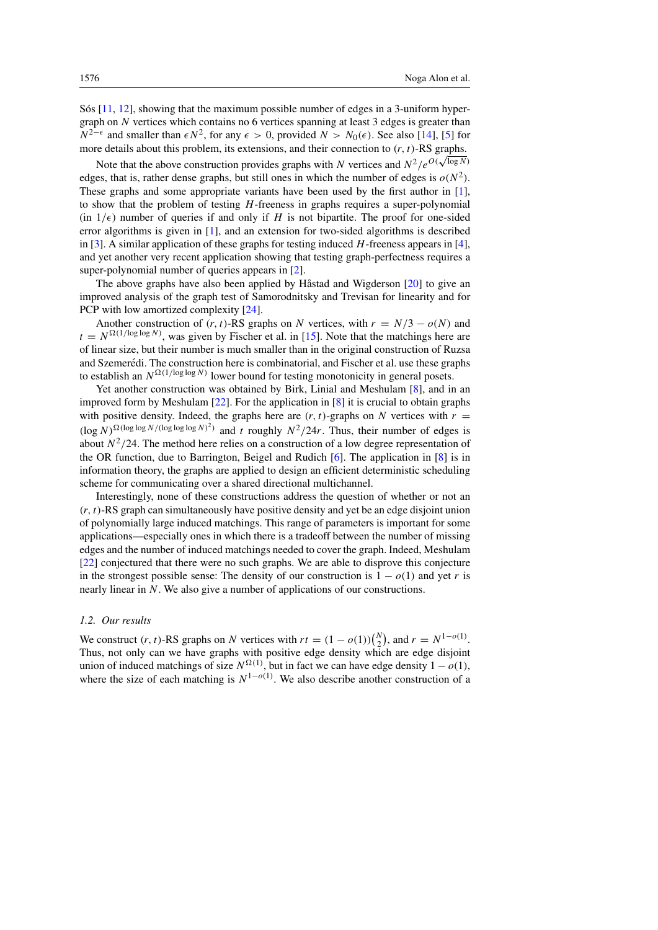Sós  $[11, 12]$  $[11, 12]$  $[11, 12]$  $[11, 12]$ , showing that the maximum possible number of edges in a 3-uniform hypergraph on  $N$  vertices which contains no 6 vertices spanning at least 3 edges is greater than  $N^{2-\epsilon}$  and smaller than  $\epsilon N^2$ , for any  $\epsilon > 0$ , provided  $N > N_0(\epsilon)$ . See also [\[14\]](#page-21-5), [\[5\]](#page-20-1) for more details about this problem, its extensions, and their connection to  $(r, t)$ -RS graphs.

e details about this problem, its extensions, and their connection to  $(r, t)$ -KS graphs.<br>Note that the above construction provides graphs with N vertices and  $N^2/e^{O(\sqrt{\log N})}$ edges, that is, rather dense graphs, but still ones in which the number of edges is  $o(N^2)$ . These graphs and some appropriate variants have been used by the first author in [\[1\]](#page-20-2), to show that the problem of testing  $H$ -freeness in graphs requires a super-polynomial (in  $1/\epsilon$ ) number of queries if and only if H is not bipartite. The proof for one-sided error algorithms is given in [\[1\]](#page-20-2), and an extension for two-sided algorithms is described in [\[3\]](#page-20-3). A similar application of these graphs for testing induced  $H$ -freeness appears in [\[4\]](#page-20-4), and yet another very recent application showing that testing graph-perfectness requires a super-polynomial number of queries appears in [\[2\]](#page-20-5).

The above graphs have also been applied by Håstad and Wigderson  $[20]$  $[20]$  to give an improved analysis of the graph test of Samorodnitsky and Trevisan for linearity and for PCP with low amortized complexity [\[24\]](#page-21-7).

Another construction of  $(r, t)$ -RS graphs on N vertices, with  $r = N/3 - o(N)$  and  $t = N^{\Omega(1/\log \log N)}$ , was given by Fischer et al. in [\[15\]](#page-21-8). Note that the matchings here are of linear size, but their number is much smaller than in the original construction of Ruzsa and Szemerédi. The construction here is combinatorial, and Fischer et al. use these graphs to establish an  $N^{\Omega(1/\log \log N)}$  lower bound for testing monotonicity in general posets.

Yet another construction was obtained by Birk, Linial and Meshulam [\[8\]](#page-20-6), and in an improved form by Meshulam  $[22]$ . For the application in  $[8]$  it is crucial to obtain graphs with positive density. Indeed, the graphs here are  $(r, t)$ -graphs on N vertices with  $r =$  $(\log N)^{\Omega(\log \log N/(\log \log N)^2)}$  and t roughly  $N^2/24r$ . Thus, their number of edges is about  $N^2/24$ . The method here relies on a construction of a low degree representation of the OR function, due to Barrington, Beigel and Rudich [\[6\]](#page-20-7). The application in [\[8\]](#page-20-6) is in information theory, the graphs are applied to design an efficient deterministic scheduling scheme for communicating over a shared directional multichannel.

Interestingly, none of these constructions address the question of whether or not an  $(r, t)$ -RS graph can simultaneously have positive density and yet be an edge disjoint union of polynomially large induced matchings. This range of parameters is important for some applications—especially ones in which there is a tradeoff between the number of missing edges and the number of induced matchings needed to cover the graph. Indeed, Meshulam [\[22\]](#page-21-9) conjectured that there were no such graphs. We are able to disprove this conjecture in the strongest possible sense: The density of our construction is  $1 - o(1)$  and yet r is nearly linear in N. We also give a number of applications of our constructions.

# *1.2. Our results*

We construct  $(r, t)$ -RS graphs on N vertices with  $rt = (1 - o(1))\binom{N}{2}$ , and  $r = N^{1 - o(1)}$ . Thus, not only can we have graphs with positive edge density which are edge disjoint union of induced matchings of size  $N^{\Omega(1)}$ , but in fact we can have edge density  $1 - o(1)$ , where the size of each matching is  $N^{1-o(1)}$ . We also describe another construction of a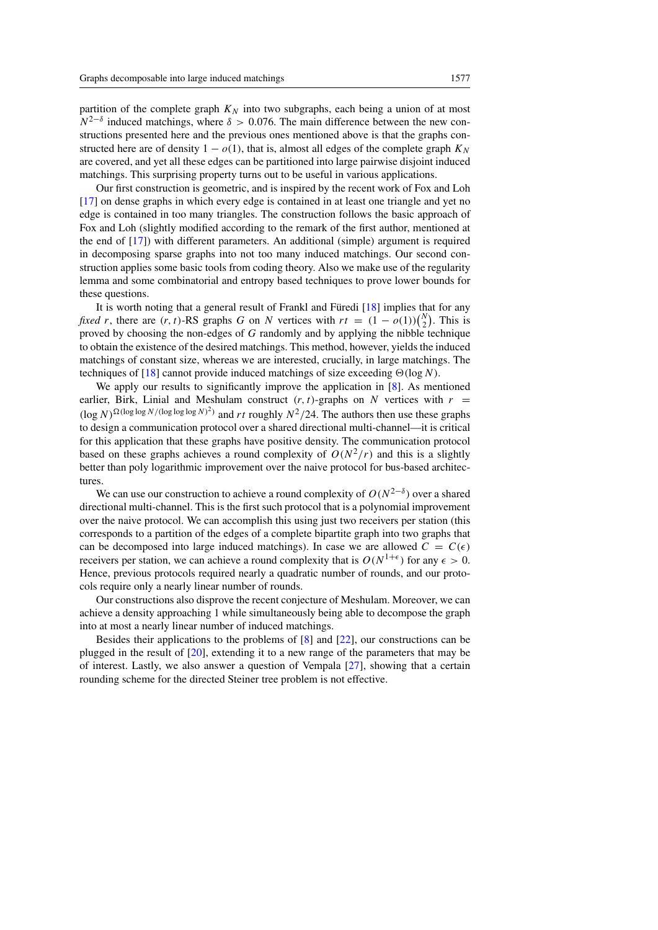partition of the complete graph  $K_N$  into two subgraphs, each being a union of at most  $N^{2-\delta}$  induced matchings, where  $\delta > 0.076$ . The main difference between the new constructions presented here and the previous ones mentioned above is that the graphs constructed here are of density  $1 - o(1)$ , that is, almost all edges of the complete graph  $K_N$ are covered, and yet all these edges can be partitioned into large pairwise disjoint induced matchings. This surprising property turns out to be useful in various applications.

Our first construction is geometric, and is inspired by the recent work of Fox and Loh [\[17\]](#page-21-10) on dense graphs in which every edge is contained in at least one triangle and yet no edge is contained in too many triangles. The construction follows the basic approach of Fox and Loh (slightly modified according to the remark of the first author, mentioned at the end of [\[17\]](#page-21-10)) with different parameters. An additional (simple) argument is required in decomposing sparse graphs into not too many induced matchings. Our second construction applies some basic tools from coding theory. Also we make use of the regularity lemma and some combinatorial and entropy based techniques to prove lower bounds for these questions.

It is worth noting that a general result of Frankl and Füredi  $[18]$  $[18]$  implies that for any *fixed* r, there are  $(r, t)$ -RS graphs G on N vertices with  $rt = (1 - o(1))\binom{N}{2}$ . This is proved by choosing the non-edges of  $G$  randomly and by applying the nibble technique to obtain the existence of the desired matchings. This method, however, yields the induced matchings of constant size, whereas we are interested, crucially, in large matchings. The techniques of [\[18\]](#page-21-11) cannot provide induced matchings of size exceeding  $\Theta(\log N)$ .

We apply our results to significantly improve the application in [\[8\]](#page-20-6). As mentioned earlier, Birk, Linial and Meshulam construct  $(r, t)$ -graphs on N vertices with  $r =$  $(\log N)^{\Omega(\log \log N/(\log \log N)^2)}$  and rt roughly  $N^2/24$ . The authors then use these graphs to design a communication protocol over a shared directional multi-channel—it is critical for this application that these graphs have positive density. The communication protocol based on these graphs achieves a round complexity of  $O(N^2/r)$  and this is a slightly better than poly logarithmic improvement over the naive protocol for bus-based architectures.

We can use our construction to achieve a round complexity of  $O(N^{2-\delta})$  over a shared directional multi-channel. This is the first such protocol that is a polynomial improvement over the naive protocol. We can accomplish this using just two receivers per station (this corresponds to a partition of the edges of a complete bipartite graph into two graphs that can be decomposed into large induced matchings). In case we are allowed  $C = C(\epsilon)$ receivers per station, we can achieve a round complexity that is  $O(N^{1+\epsilon})$  for any  $\epsilon > 0$ . Hence, previous protocols required nearly a quadratic number of rounds, and our protocols require only a nearly linear number of rounds.

Our constructions also disprove the recent conjecture of Meshulam. Moreover, we can achieve a density approaching 1 while simultaneously being able to decompose the graph into at most a nearly linear number of induced matchings.

Besides their applications to the problems of [\[8\]](#page-20-6) and [\[22\]](#page-21-9), our constructions can be plugged in the result of  $[20]$ , extending it to a new range of the parameters that may be of interest. Lastly, we also answer a question of Vempala [\[27\]](#page-21-12), showing that a certain rounding scheme for the directed Steiner tree problem is not effective.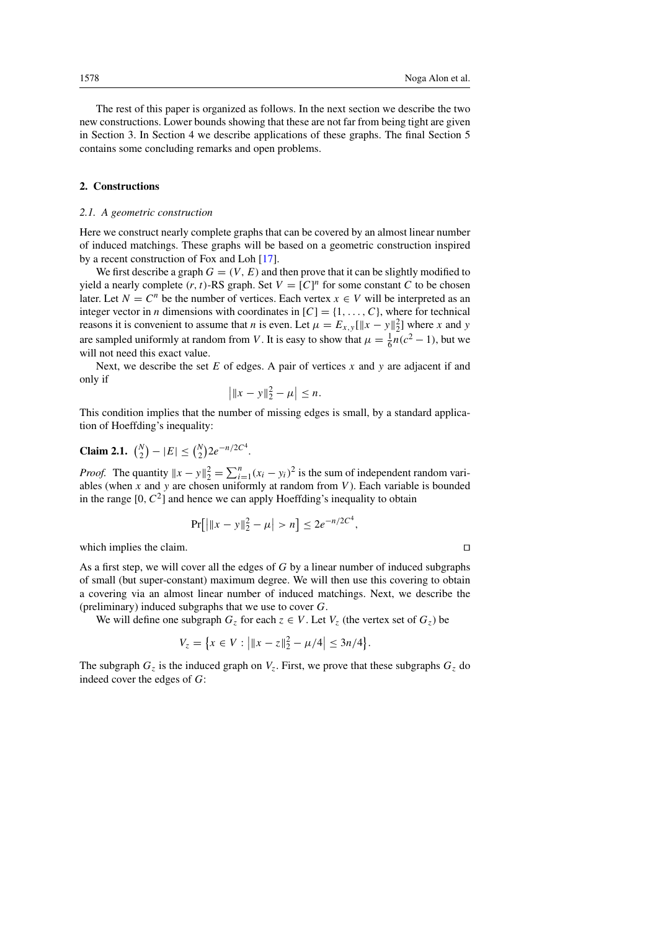The rest of this paper is organized as follows. In the next section we describe the two new constructions. Lower bounds showing that these are not far from being tight are given in Section 3. In Section 4 we describe applications of these graphs. The final Section 5 contains some concluding remarks and open problems.

# 2. Constructions

#### <span id="page-3-0"></span>*2.1. A geometric construction*

Here we construct nearly complete graphs that can be covered by an almost linear number of induced matchings. These graphs will be based on a geometric construction inspired by a recent construction of Fox and Loh [\[17\]](#page-21-10).

We first describe a graph  $G = (V, E)$  and then prove that it can be slightly modified to yield a nearly complete  $(r, t)$ -RS graph. Set  $V = [C]^n$  for some constant C to be chosen later. Let  $N = C^n$  be the number of vertices. Each vertex  $x \in V$  will be interpreted as an integer vector in *n* dimensions with coordinates in  $[C] = \{1, \ldots, C\}$ , where for technical reasons it is convenient to assume that *n* is even. Let  $\mu = E_{x,y}[\|x - y\|_2^2]$  where *x* and *y* are sampled uniformly at random from V. It is easy to show that  $\mu = \frac{1}{6}n(c^2 - 1)$ , but we will not need this exact value.

Next, we describe the set  $E$  of edges. A pair of vertices  $x$  and  $y$  are adjacent if and only if

$$
\left| \|x - y\|_2^2 - \mu \right| \le n.
$$

This condition implies that the number of missing edges is small, by a standard application of Hoeffding's inequality:

**Claim 2.1.** 
$$
\binom{N}{2} - |E| \leq \binom{N}{2} 2e^{-n/2C^4}
$$
.

*Proof.* The quantity  $||x - y||_2^2 = \sum_{i=1}^n (x_i - y_i)^2$  is the sum of independent random variables (when  $x$  and  $y$  are chosen uniformly at random from  $V$ ). Each variable is bounded in the range [0,  $C^2$ ] and hence we can apply Hoeffding's inequality to obtain

$$
Pr[||x - y||_2^2 - \mu| > n] \le 2e^{-n/2C^4},
$$

which implies the claim.  $\Box$ 

As a first step, we will cover all the edges of G by a linear number of induced subgraphs of small (but super-constant) maximum degree. We will then use this covering to obtain a covering via an almost linear number of induced matchings. Next, we describe the (preliminary) induced subgraphs that we use to cover G.

We will define one subgraph  $G_z$  for each  $z \in V$ . Let  $V_z$  (the vertex set of  $G_z$ ) be

$$
V_z = \{x \in V : ||x - z||_2^2 - \mu/4| \leq 3n/4\}.
$$

The subgraph  $G_z$  is the induced graph on  $V_z$ . First, we prove that these subgraphs  $G_z$  do indeed cover the edges of G: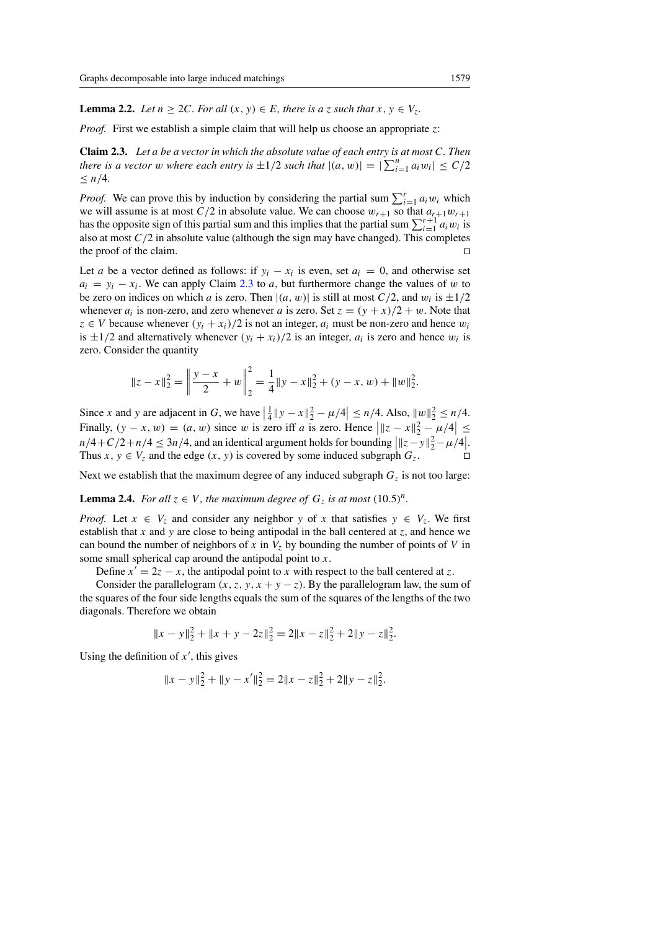**Lemma 2.2.** *Let*  $n \geq 2C$ *. For all*  $(x, y) \in E$ *, there is a z such that*  $x, y \in V_z$ *.* 

<span id="page-4-0"></span>*Proof.* First we establish a simple claim that will help us choose an appropriate z:

Claim 2.3. *Let* a *be a vector in which the absolute value of each entry is at most* C*. Then there is a vector w where each entry is*  $\pm 1/2$  *such that*  $|(a, w)| = |\sum_{i=1}^{n} a_i w_i| \le C/2$  $≤ n/4.$ 

*Proof.* We can prove this by induction by considering the partial sum  $\sum_{i=1}^{r} a_i w_i$  which we will assume is at most  $C/2$  in absolute value. We can choose  $w_{r+1}$  so that  $a_{r+1}w_{r+1}$ has the opposite sign of this partial sum and this implies that the partial sum  $\sum_{i=1}^{r+1} a_i w_i$  is also at most  $C/2$  in absolute value (although the sign may have changed). This completes the proof of the claim.  $\Box$ 

Let *a* be a vector defined as follows: if  $y_i - x_i$  is even, set  $a_i = 0$ , and otherwise set  $a_i = y_i - x_i$ . We can apply Claim [2.3](#page-4-0) to a, but furthermore change the values of w to be zero on indices on which a is zero. Then  $|(a, w)|$  is still at most  $C/2$ , and  $w_i$  is  $\pm 1/2$ whenever  $a_i$  is non-zero, and zero whenever a is zero. Set  $z = (y + x)/2 + w$ . Note that  $z \in V$  because whenever  $(y_i + x_i)/2$  is not an integer,  $a_i$  must be non-zero and hence  $w_i$ is  $\pm 1/2$  and alternatively whenever  $(y_i + x_i)/2$  is an integer,  $a_i$  is zero and hence  $w_i$  is zero. Consider the quantity

$$
\|z - x\|_2^2 = \left\|\frac{y - x}{2} + w\right\|_2^2 = \frac{1}{4} \|y - x\|_2^2 + (y - x, w) + \|w\|_2^2.
$$

Since x and y are adjacent in G, we have  $\left|\frac{1}{4}||y - x||_2^2 - \mu/4\right| \le n/4$ . Also,  $||w||_2^2 \le n/4$ . Finally,  $(y - x, w) = (a, w)$  since w is zero iff a is zero. Hence  $||z - x||_2^2 - \mu/4| \le$  $n/4+C/2+n/4 \leq 3n/4$ , and an identical argument holds for bounding  $\left|\frac{z-y}{2}-\mu/4\right|$ . Thus  $x, y \in V_z$  and the edge  $(x, y)$  is covered by some induced subgraph  $G_z$ .

Next we establish that the maximum degree of any induced subgraph  $G<sub>z</sub>$  is not too large:

**Lemma 2.4.** For all  $z \in V$ , the maximum degree of  $G_z$  is at most  $(10.5)^n$ .

*Proof.* Let  $x \in V_z$  and consider any neighbor y of x that satisfies  $y \in V_z$ . We first establish that x and y are close to being antipodal in the ball centered at z, and hence we can bound the number of neighbors of x in  $V_z$  by bounding the number of points of V in some small spherical cap around the antipodal point to  $x$ .

Define  $x' = 2z - x$ , the antipodal point to x with respect to the ball centered at z.

Consider the parallelogram  $(x, z, y, x + y - z)$ . By the parallelogram law, the sum of the squares of the four side lengths equals the sum of the squares of the lengths of the two diagonals. Therefore we obtain

$$
||x - y||_2^2 + ||x + y - 2z||_2^2 = 2||x - z||_2^2 + 2||y - z||_2^2.
$$

Using the definition of  $x'$ , this gives

$$
||x - y||_2^2 + ||y - x'||_2^2 = 2||x - z||_2^2 + 2||y - z||_2^2.
$$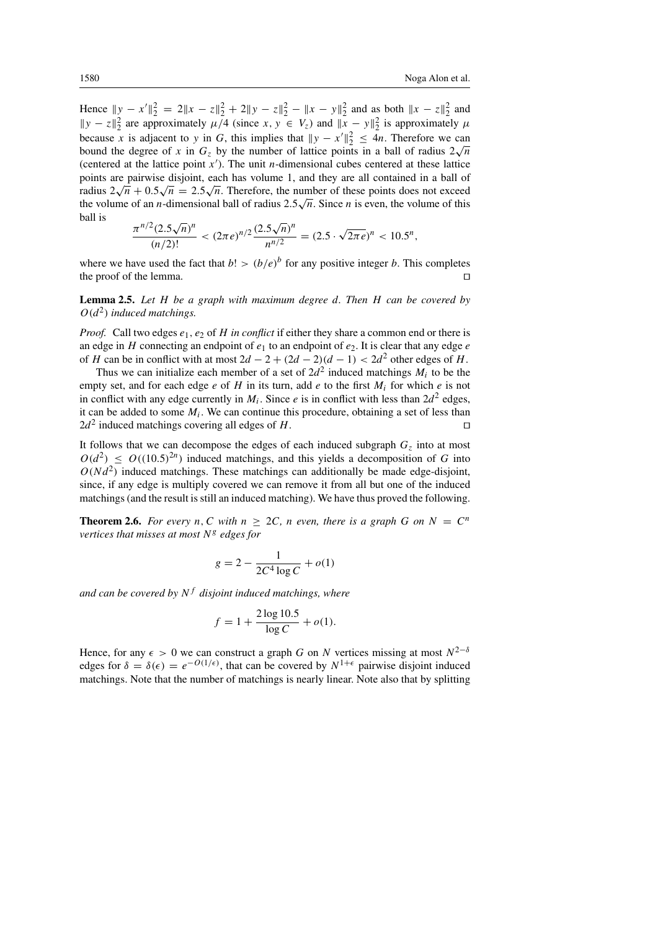Hence  $||y - x'||_2^2 = 2||x - z||_2^2 + 2||y - z||_2^2 - ||x - y||_2^2$  and as both  $||x - z||_2^2$  and  $||y - z||_2^2$  are approximately  $\mu/4$  (since x, y ∈ V<sub>z</sub>) and  $||x - y||_2^2$  is approximately  $\mu$ because x is adjacent to y in G, this implies that  $||y - x'||_2^2 \le 4n$ . Therefore we can because x is adjacent to y in G, this implies that  $||y - x||_2 \le 4n$ . Therefore we can<br>bound the degree of x in  $G_z$  by the number of lattice points in a ball of radius  $2\sqrt{n}$ (centered at the lattice point  $x'$ ). The unit *n*-dimensional cubes centered at these lattice points are pairwise disjoint, each has volume 1, and they are all contained in a ball of points are pairwise disjoint, each has volume 1, and they are all contained in a ball of radius  $2\sqrt{n} + 0.5\sqrt{n} = 2.5\sqrt{n}$ . Therefore, the number of these points does not exceed the volume of an *n*-dimensional ball of radius  $2.5\sqrt{n}$ . Since *n* is even, the volume of this ball is √ √

$$
\frac{\pi^{n/2}(2.5\sqrt{n})^n}{(n/2)!} < (2\pi e)^{n/2} \frac{(2.5\sqrt{n})^n}{n^{n/2}} = (2.5 \cdot \sqrt{2\pi e})^n < 10.5^n,
$$

where we have used the fact that  $b! > (b/e)^b$  for any positive integer b. This completes the proof of the lemma.  $\Box$ 

<span id="page-5-0"></span>Lemma 2.5. *Let* H *be a graph with maximum degree* d*. Then* H *can be covered by*  $O(d^2)$  *induced matchings.* 

*Proof.* Call two edges  $e_1$ ,  $e_2$  of H in conflict if either they share a common end or there is an edge in H connecting an endpoint of  $e_1$  to an endpoint of  $e_2$ . It is clear that any edge e of H can be in conflict with at most  $2d - 2 + (2d - 2)(d - 1) < 2d^2$  other edges of H.

Thus we can initialize each member of a set of  $2d^2$  induced matchings  $M_i$  to be the empty set, and for each edge  $e$  of H in its turn, add  $e$  to the first  $M_i$  for which  $e$  is not in conflict with any edge currently in  $M_i$ . Since e is in conflict with less than  $2d^2$  edges, it can be added to some  $M_i$ . We can continue this procedure, obtaining a set of less than  $2d^2$  induced matchings covering all edges of H.

It follows that we can decompose the edges of each induced subgraph  $G<sub>z</sub>$  into at most  $O(d^2) \leq O((10.5)^{2n})$  induced matchings, and this yields a decomposition of G into  $O(N d^2)$  induced matchings. These matchings can additionally be made edge-disjoint, since, if any edge is multiply covered we can remove it from all but one of the induced matchings (and the result is still an induced matching). We have thus proved the following.

**Theorem 2.6.** For every n, C with  $n \geq 2C$ , n even, there is a graph G on  $N = C^n$ vertices that misses at most N<sup>g</sup> edges for

$$
g = 2 - \frac{1}{2C^4 \log C} + o(1)
$$

*and can be covered by*  $N<sup>f</sup>$  *disjoint induced matchings, where* 

$$
f = 1 + \frac{2 \log 10.5}{\log C} + o(1).
$$

Hence, for any  $\epsilon > 0$  we can construct a graph G on N vertices missing at most  $N^{2-\delta}$ edges for  $\delta = \delta(\epsilon) = e^{-O(1/\epsilon)}$ , that can be covered by  $N^{1+\epsilon}$  pairwise disjoint induced matchings. Note that the number of matchings is nearly linear. Note also that by splitting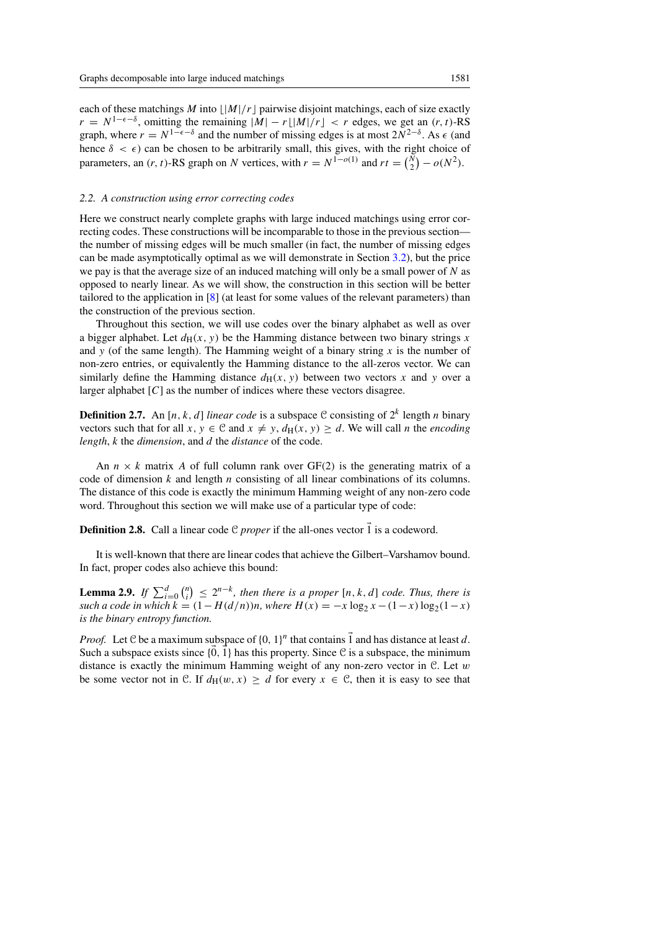each of these matchings M into  $||M|/r|$  pairwise disjoint matchings, each of size exactly  $r = N^{1-\epsilon-\delta}$ , omitting the remaining  $|M| - r\lfloor |M|/r \rfloor < r$  edges, we get an  $(r, t)$ -RS graph, where  $r = N^{1-\epsilon-\delta}$  and the number of missing edges is at most  $2N^{2-\delta}$ . As  $\epsilon$  (and hence  $\delta < \epsilon$ ) can be chosen to be arbitrarily small, this gives, with the right choice of parameters, an  $(r, t)$ -RS graph on N vertices, with  $r = N^{1-o(1)}$  and  $rt = {N \choose 2} - o(N^2)$ .

### <span id="page-6-0"></span>*2.2. A construction using error correcting codes*

Here we construct nearly complete graphs with large induced matchings using error correcting codes. These constructions will be incomparable to those in the previous section the number of missing edges will be much smaller (in fact, the number of missing edges can be made asymptotically optimal as we will demonstrate in Section [3.2\)](#page-10-0), but the price we pay is that the average size of an induced matching will only be a small power of  $N$  as opposed to nearly linear. As we will show, the construction in this section will be better tailored to the application in [\[8\]](#page-20-6) (at least for some values of the relevant parameters) than the construction of the previous section.

Throughout this section, we will use codes over the binary alphabet as well as over a bigger alphabet. Let  $d_H(x, y)$  be the Hamming distance between two binary strings x and y (of the same length). The Hamming weight of a binary string x is the number of non-zero entries, or equivalently the Hamming distance to the all-zeros vector. We can similarly define the Hamming distance  $d_H(x, y)$  between two vectors x and y over a larger alphabet [C] as the number of indices where these vectors disagree.

**Definition 2.7.** An [n, k, d] linear code is a subspace  $C$  consisting of  $2^k$  length n binary vectors such that for all  $x, y \in C$  and  $x \neq y$ ,  $d_H(x, y) \geq d$ . We will call *n* the *encoding length*, k the *dimension*, and d the *distance* of the code.

An  $n \times k$  matrix A of full column rank over GF(2) is the generating matrix of a code of dimension  $k$  and length  $n$  consisting of all linear combinations of its columns. The distance of this code is exactly the minimum Hamming weight of any non-zero code word. Throughout this section we will make use of a particular type of code:

**Definition 2.8.** Call a linear code  $C$  *proper* if the all-ones vector  $\vec{1}$  is a codeword.

It is well-known that there are linear codes that achieve the Gilbert–Varshamov bound. In fact, proper codes also achieve this bound:

**Lemma 2.9.** *If*  $\sum_{i=0}^{d} {n \choose i}$  $\binom{n}{i} \leq 2^{n-k}$ , then there is a proper  $[n, k, d]$  code. Thus, there is *such a code in which*  $k = (1 - H(d/n))n$ *, where*  $H(x) = -x \log_2 x - (1 - x) \log_2 (1 - x)$ *is the binary entropy function.*

*Proof.* Let C be a maximum subspace of  $\{0, 1\}^n$  that contains  $\vec{1}$  and has distance at least d. Such a subspace exists since  $\{0, 1\}$  has this property. Since C is a subspace, the minimum distance is exactly the minimum Hamming weight of any non-zero vector in  $C$ . Let w be some vector not in C. If  $d_H(w, x) \ge d$  for every  $x \in C$ , then it is easy to see that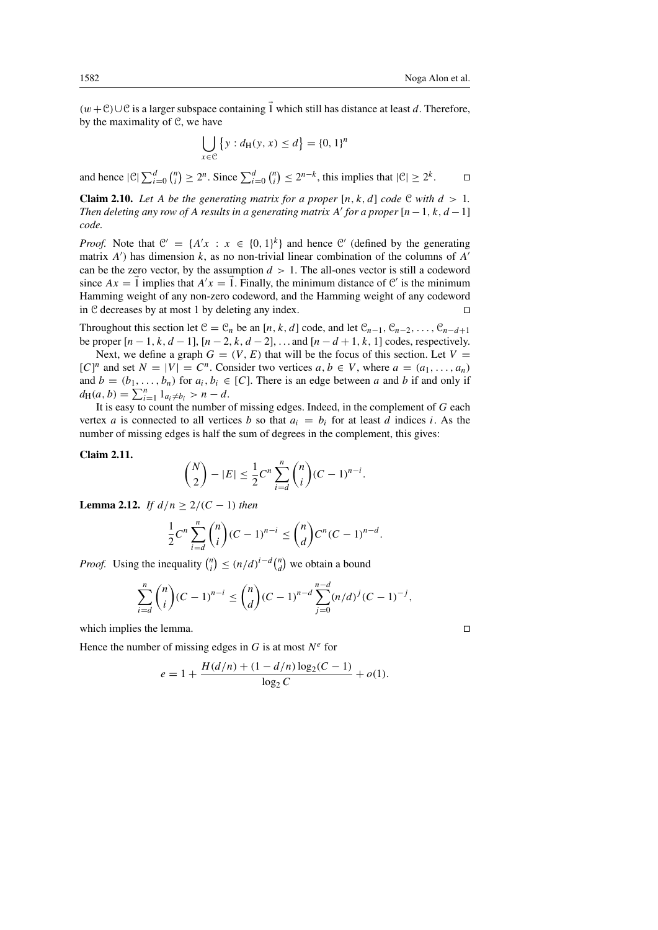$(w+\mathcal{C})\cup\mathcal{C}$  is a larger subspace containing  $\vec{1}$  which still has distance at least d. Therefore, by the maximality of C, we have

$$
\bigcup_{x \in \mathcal{C}} \{y : d_H(y, x) \le d\} = \{0, 1\}^n
$$

and hence  $|\mathcal{C}| \sum_{i=0}^{d} {n \choose i}$  $\binom{n}{i} \geq 2^n$ . Since  $\sum_{i=0}^d \binom{n}{i}$  $\binom{n}{i} \leq 2^{n-k}$ , this implies that  $|\mathcal{C}| \geq 2^k$  $\Box$ 

**Claim 2.10.** Let A be the generating matrix for a proper  $[n, k, d]$  code  $\mathbb{C}$  with  $d > 1$ . *Then deleting any row of A results in a generating matrix A' for a proper*  $[n-1, k, d-1]$ *code.*

*Proof.* Note that  $\mathcal{C}' = \{A'x : x \in \{0,1\}^k\}$  and hence  $\mathcal{C}'$  (defined by the generating matrix  $A'$ ) has dimension k, as no non-trivial linear combination of the columns of  $A'$ can be the zero vector, by the assumption  $d > 1$ . The all-ones vector is still a codeword since  $Ax = \vec{1}$  implies that  $A'x = \vec{1}$ . Finally, the minimum distance of C' is the minimum Hamming weight of any non-zero codeword, and the Hamming weight of any codeword in  $\mathcal C$  decreases by at most 1 by deleting any index.

Throughout this section let  $\mathcal{C} = \mathcal{C}_n$  be an [n, k, d] code, and let  $\mathcal{C}_{n-1}, \mathcal{C}_{n-2}, \ldots, \mathcal{C}_{n-d+1}$ be proper  $[n-1, k, d-1]$ ,  $[n-2, k, d-2]$ , ... and  $[n-d+1, k, 1]$  codes, respectively.

Next, we define a graph  $G = (V, E)$  that will be the focus of this section. Let  $V =$  $[C]^n$  and set  $N = |V| = C^n$ . Consider two vertices  $a, b \in V$ , where  $a = (a_1, \ldots, a_n)$ and  $b = (b_1, \ldots, b_n)$  for  $a_i, b_i \in [C]$ . There is an edge between a and b if and only if  $d_{\text{H}}(a, b) = \sum_{i=1}^{n} 1_{a_i \neq b_i} > n - d.$ 

It is easy to count the number of missing edges. Indeed, in the complement of G each vertex a is connected to all vertices b so that  $a_i = b_i$  for at least d indices i. As the number of missing edges is half the sum of degrees in the complement, this gives:

# Claim 2.11.

$$
\binom{N}{2} - |E| \le \frac{1}{2} C^n \sum_{i=d}^n \binom{n}{i} (C-1)^{n-i}.
$$

**Lemma 2.12.** *If*  $d/n > 2/(C - 1)$  *then* 

$$
\frac{1}{2}C^n \sum_{i=d}^n \binom{n}{i} (C-1)^{n-i} \leq \binom{n}{d} C^n (C-1)^{n-d}.
$$

*Proof.* Using the inequality  $\binom{n}{i}$  $\binom{n}{i} \leq (n/d)^{i-d} \binom{n}{d}$  $\binom{n}{d}$  we obtain a bound

$$
\sum_{i=d}^{n} {n \choose i} (C-1)^{n-i} \le {n \choose d} (C-1)^{n-d} \sum_{j=0}^{n-d} (n/d)^{j} (C-1)^{-j},
$$

which implies the lemma.  $\Box$ 

Hence the number of missing edges in  $G$  is at most  $N^e$  for

$$
e = 1 + \frac{H(d/n) + (1 - d/n) \log_2(C - 1)}{\log_2 C} + o(1).
$$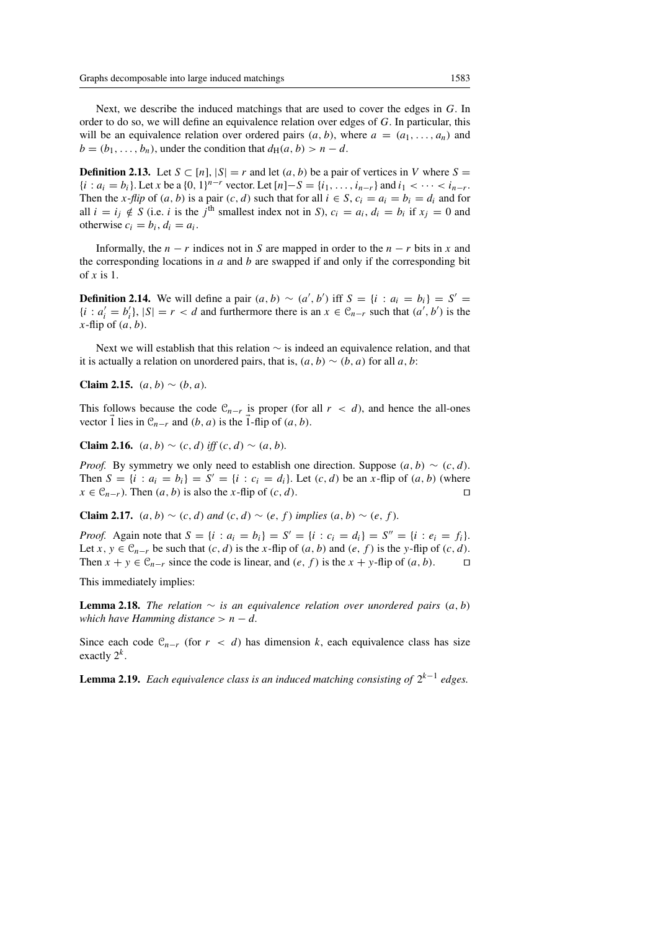Next, we describe the induced matchings that are used to cover the edges in G. In order to do so, we will define an equivalence relation over edges of G. In particular, this will be an equivalence relation over ordered pairs  $(a, b)$ , where  $a = (a_1, \ldots, a_n)$  and  $b = (b_1, \ldots, b_n)$ , under the condition that  $d_H(a, b) > n - d$ .

**Definition 2.13.** Let  $S \subset [n]$ ,  $|S| = r$  and let  $(a, b)$  be a pair of vertices in V where  $S =$  $\{i : a_i = b_i\}$ . Let x be a  $\{0, 1\}^{n-r}$  vector. Let  $[n] - S = \{i_1, \ldots, i_{n-r}\}$  and  $i_1 < \cdots < i_{n-r}$ . Then the x-*flip* of  $(a, b)$  is a pair  $(c, d)$  such that for all  $i \in S$ ,  $c_i = a_i = b_i = d_i$  and for all  $i = i_j \notin S$  (i.e. i is the j<sup>th</sup> smallest index not in S),  $c_i = a_i$ ,  $d_i = b_i$  if  $x_j = 0$  and otherwise  $c_i = b_i, d_i = a_i$ .

Informally, the  $n - r$  indices not in S are mapped in order to the  $n - r$  bits in x and the corresponding locations in  $a$  and  $b$  are swapped if and only if the corresponding bit of  $x$  is 1.

**Definition 2.14.** We will define a pair  $(a, b) \sim (a', b')$  iff  $S = \{i : a_i = b_i\} = S'$  $\{i : a'_i = b'_i\}, |\mathcal{S}| = r < d$  and furthermore there is an  $x \in \mathcal{C}_{n-r}$  such that  $(a', b')$  is the x-flip of  $(a, b)$ .

Next we will establish that this relation ∼ is indeed an equivalence relation, and that it is actually a relation on unordered pairs, that is,  $(a, b) \sim (b, a)$  for all a, b:

Claim 2.15.  $(a, b) \sim (b, a)$ .

This follows because the code  $\mathcal{C}_{n-r}$  is proper (for all  $r < d$ ), and hence the all-ones vector 1 lies in  $\mathcal{C}_{n-r}$  and  $(b, a)$  is the 1-flip of  $(a, b)$ .

Claim 2.16.  $(a, b)$  ∼  $(c, d)$  *iff*  $(c, d)$  ∼  $(a, b)$ *.* 

*Proof.* By symmetry we only need to establish one direction. Suppose  $(a, b) \sim (c, d)$ . Then  $S = \{i : a_i = b_i\} = S' = \{i : c_i = d_i\}$ . Let  $(c, d)$  be an x-flip of  $(a, b)$  (where  $x \in C_{n-r}$ ). Then  $(a, b)$  is also the x-flip of  $(c, d)$ .

**Claim 2.17.** (*a*, *b*) ∼ (*c*, *d*) *and* (*c*, *d*) ∼ (*e*, *f*) *implies* (*a*, *b*) ∼ (*e*, *f*).

*Proof.* Again note that  $S = \{i : a_i = b_i\} = S' = \{i : c_i = d_i\} = S'' = \{i : e_i = f_i\}$ . Let  $x, y \in \mathcal{C}_{n-r}$  be such that  $(c, d)$  is the x-flip of  $(a, b)$  and  $(e, f)$  is the y-flip of  $(c, d)$ . Then  $x + y \in \mathcal{C}_{n-r}$  since the code is linear, and  $(e, f)$  is the  $x + y$ -flip of  $(a, b)$ .  $\Box$ 

This immediately implies:

**Lemma 2.18.** *The relation*  $\sim$  *is an equivalence relation over unordered pairs*  $(a, b)$ *which have Hamming distance*  $> n - d$ .

Since each code  $\mathcal{C}_{n-r}$  (for  $r < d$ ) has dimension k, each equivalence class has size exactly  $2^k$ .

**Lemma 2.19.** Each equivalence class is an induced matching consisting of  $2^{k-1}$  edges.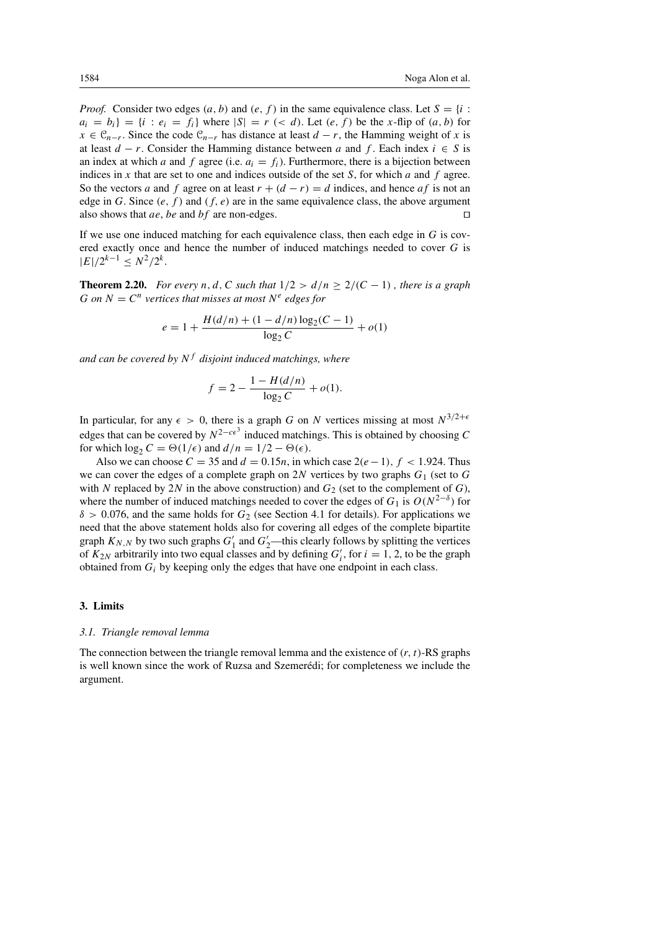*Proof.* Consider two edges  $(a, b)$  and  $(e, f)$  in the same equivalence class. Let  $S = \{i :$  $a_i = b_i$  = {i :  $e_i = f_i$ } where  $|S| = r$  (< d). Let (e, f) be the x-flip of (a, b) for  $x \in \mathcal{C}_{n-r}$ . Since the code  $\mathcal{C}_{n-r}$  has distance at least  $d-r$ , the Hamming weight of x is at least  $d - r$ . Consider the Hamming distance between a and f. Each index  $i \in S$  is an index at which a and f agree (i.e.  $a_i = f_i$ ). Furthermore, there is a bijection between indices in  $x$  that are set to one and indices outside of the set  $S$ , for which  $a$  and  $f$  agree. So the vectors a and f agree on at least  $r + (d - r) = d$  indices, and hence af is not an edge in G. Since  $(e, f)$  and  $(f, e)$  are in the same equivalence class, the above argument also shows that *ae*, *be* and *bf* are non-edges.  $\Box$ 

If we use one induced matching for each equivalence class, then each edge in  $G$  is covered exactly once and hence the number of induced matchings needed to cover G is  $|E|/2^{k-1} \leq N^2/2^k$ .

<span id="page-9-0"></span>**Theorem 2.20.** *For every* n, d, C *such that*  $1/2 > d/n \ge 2/(C - 1)$ , *there is a graph* G on  $N = C^n$  vertices that misses at most  $N^e$  edges for

$$
e = 1 + \frac{H(d/n) + (1 - d/n) \log_2(C - 1)}{\log_2 C} + o(1)
$$

*and can be covered by* N<sup>f</sup> *disjoint induced matchings, where*

$$
f = 2 - \frac{1 - H(d/n)}{\log_2 C} + o(1).
$$

In particular, for any  $\epsilon > 0$ , there is a graph G on N vertices missing at most  $N^{3/2+\epsilon}$ edges that can be covered by  $N^{2-c\epsilon^3}$  induced matchings. This is obtained by choosing C for which log<sub>2</sub>  $C = \Theta(1/\epsilon)$  and  $d/n = 1/2 - \Theta(\epsilon)$ .

Also we can choose  $C = 35$  and  $d = 0.15n$ , in which case  $2(e - 1)$ ,  $f < 1.924$ . Thus we can cover the edges of a complete graph on  $2N$  vertices by two graphs  $G_1$  (set to  $G$ with N replaced by  $2N$  in the above construction) and  $G_2$  (set to the complement of G), where the number of induced matchings needed to cover the edges of  $G_1$  is  $O(N^{2-\delta})$  for  $\delta > 0.076$ , and the same holds for  $G_2$  (see Section 4.1 for details). For applications we need that the above statement holds also for covering all edges of the complete bipartite graph  $K_{N,N}$  by two such graphs  $G'_1$  and  $G'_2$ —this clearly follows by splitting the vertices of  $K_{2N}$  arbitrarily into two equal classes and by defining  $G'_{i}$ , for  $i = 1, 2$ , to be the graph obtained from  $G_i$  by keeping only the edges that have one endpoint in each class.

### 3. Limits

#### *3.1. Triangle removal lemma*

The connection between the triangle removal lemma and the existence of  $(r, t)$ -RS graphs is well known since the work of Ruzsa and Szemerédi; for completeness we include the argument.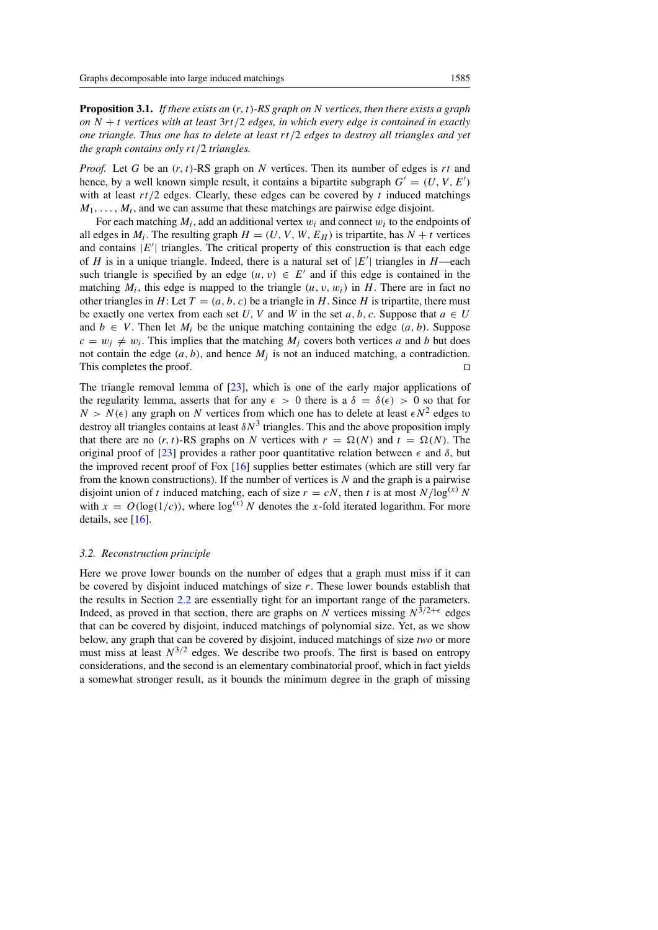Proposition 3.1. *If there exists an* (r, t)*-RS graph on* N *vertices, then there exists a graph on* N + t *vertices with at least* 3rt/2 *edges, in which every edge is contained in exactly one triangle. Thus one has to delete at least* rt/2 *edges to destroy all triangles and yet the graph contains only* rt/2 *triangles.*

*Proof.* Let G be an  $(r, t)$ -RS graph on N vertices. Then its number of edges is rt and hence, by a well known simple result, it contains a bipartite subgraph  $G' = (U, V, E')$ with at least  $rt/2$  edges. Clearly, these edges can be covered by  $t$  induced matchings  $M_1, \ldots, M_t$ , and we can assume that these matchings are pairwise edge disjoint.

For each matching  $M_i$ , add an additional vertex  $w_i$  and connect  $w_i$  to the endpoints of all edges in  $M_i$ . The resulting graph  $H = (U, V, W, E_H)$  is tripartite, has  $N + t$  vertices and contains  $|E'|$  triangles. The critical property of this construction is that each edge of H is in a unique triangle. Indeed, there is a natural set of  $|E'|$  triangles in H—each such triangle is specified by an edge  $(u, v) \in E'$  and if this edge is contained in the matching  $M_i$ , this edge is mapped to the triangle  $(u, v, w_i)$  in H. There are in fact no other triangles in  $H$ : Let  $T = (a, b, c)$  be a triangle in H. Since H is tripartite, there must be exactly one vertex from each set U, V and W in the set a, b, c. Suppose that  $a \in U$ and  $b \in V$ . Then let  $M_i$  be the unique matching containing the edge  $(a, b)$ . Suppose  $c = w_j \neq w_i$ . This implies that the matching  $M_j$  covers both vertices a and b but does not contain the edge  $(a, b)$ , and hence  $M_i$  is not an induced matching, a contradiction. This completes the proof.  $\Box$ 

The triangle removal lemma of [\[23\]](#page-21-1), which is one of the early major applications of the regularity lemma, asserts that for any  $\epsilon > 0$  there is a  $\delta = \delta(\epsilon) > 0$  so that for  $N > N(\epsilon)$  any graph on N vertices from which one has to delete at least  $\epsilon N^2$  edges to destroy all triangles contains at least  $\delta N^3$  triangles. This and the above proposition imply that there are no  $(r, t)$ -RS graphs on N vertices with  $r = \Omega(N)$  and  $t = \Omega(N)$ . The original proof of [\[23\]](#page-21-1) provides a rather poor quantitative relation between  $\epsilon$  and  $\delta$ , but the improved recent proof of Fox [\[16\]](#page-21-13) supplies better estimates (which are still very far from the known constructions). If the number of vertices is  $N$  and the graph is a pairwise disjoint union of t induced matching, each of size  $r = cN$ , then t is at most  $N/\log^{(x)} N$ with  $x = O(\log(1/c))$ , where  $\log^{(x)} N$  denotes the x-fold iterated logarithm. For more details, see [\[16\]](#page-21-13).

# <span id="page-10-0"></span>*3.2. Reconstruction principle*

Here we prove lower bounds on the number of edges that a graph must miss if it can be covered by disjoint induced matchings of size  $r$ . These lower bounds establish that the results in Section [2.2](#page-6-0) are essentially tight for an important range of the parameters. Indeed, as proved in that section, there are graphs on N vertices missing  $N^{3/2+\epsilon}$  edges that can be covered by disjoint, induced matchings of polynomial size. Yet, as we show below, any graph that can be covered by disjoint, induced matchings of size *two* or more must miss at least  $N^{3/2}$  edges. We describe two proofs. The first is based on entropy considerations, and the second is an elementary combinatorial proof, which in fact yields a somewhat stronger result, as it bounds the minimum degree in the graph of missing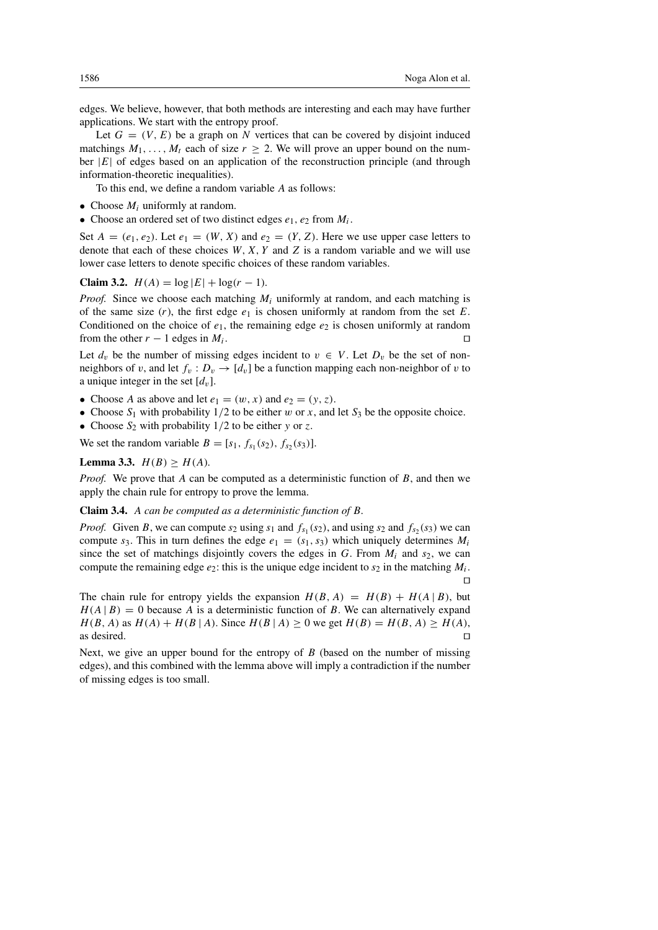edges. We believe, however, that both methods are interesting and each may have further applications. We start with the entropy proof.

Let  $G = (V, E)$  be a graph on N vertices that can be covered by disjoint induced matchings  $M_1, \ldots, M_t$  each of size  $r \geq 2$ . We will prove an upper bound on the number  $|E|$  of edges based on an application of the reconstruction principle (and through information-theoretic inequalities).

To this end, we define a random variable A as follows:

- Choose  $M_i$  uniformly at random.
- Choose an ordered set of two distinct edges  $e_1, e_2$  from  $M_i$ .

Set  $A = (e_1, e_2)$ . Let  $e_1 = (W, X)$  and  $e_2 = (Y, Z)$ . Here we use upper case letters to denote that each of these choices  $W, X, Y$  and Z is a random variable and we will use lower case letters to denote specific choices of these random variables.

# <span id="page-11-1"></span>Claim 3.2.  $H(A) = \log |E| + \log(r - 1)$ .

*Proof.* Since we choose each matching  $M_i$  uniformly at random, and each matching is of the same size  $(r)$ , the first edge  $e_1$  is chosen uniformly at random from the set E. Conditioned on the choice of  $e_1$ , the remaining edge  $e_2$  is chosen uniformly at random from the other  $r - 1$  edges in  $M_i$ . . Under the contract of the contract of the contract of the contract of the contract of the contract of the con

Let  $d_v$  be the number of missing edges incident to  $v \in V$ . Let  $D_v$  be the set of nonneighbors of v, and let  $f_v : D_v \to [d_v]$  be a function mapping each non-neighbor of v to a unique integer in the set  $[d_v]$ .

- Choose A as above and let  $e_1 = (w, x)$  and  $e_2 = (y, z)$ .
- Choose  $S_1$  with probability  $1/2$  to be either w or x, and let  $S_3$  be the opposite choice.
- Choose  $S_2$  with probability  $1/2$  to be either y or z.

We set the random variable  $B = [s_1, f_{s_1}(s_2), f_{s_2}(s_3)].$ 

<span id="page-11-0"></span>**Lemma 3.3.**  $H(B) \ge H(A)$ .

*Proof.* We prove that A can be computed as a deterministic function of B, and then we apply the chain rule for entropy to prove the lemma.

### Claim 3.4. A *can be computed as a deterministic function of* B*.*

*Proof.* Given B, we can compute  $s_2$  using  $s_1$  and  $f_{s_1}(s_2)$ , and using  $s_2$  and  $f_{s_2}(s_3)$  we can compute s<sub>3</sub>. This in turn defines the edge  $e_1 = (s_1, s_3)$  which uniquely determines  $M_i$ since the set of matchings disjointly covers the edges in G. From  $M_i$  and  $s_2$ , we can compute the remaining edge  $e_2$ : this is the unique edge incident to  $s_2$  in the matching  $M_i$ .  $\Box$ 

The chain rule for entropy yields the expansion  $H(B, A) = H(B) + H(A | B)$ , but  $H(A | B) = 0$  because A is a deterministic function of B. We can alternatively expand  $H(B, A)$  as  $H(A) + H(B | A)$ . Since  $H(B | A) \ge 0$  we get  $H(B) = H(B, A) \ge H(A)$ , as desired.  $\Box$ 

Next, we give an upper bound for the entropy of  $B$  (based on the number of missing edges), and this combined with the lemma above will imply a contradiction if the number of missing edges is too small.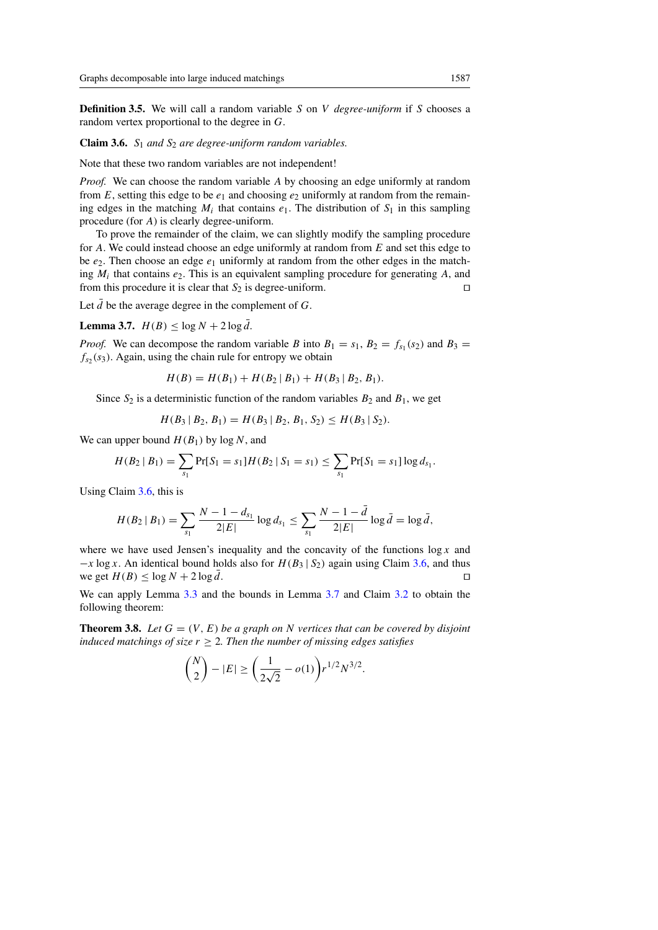Definition 3.5. We will call a random variable S on V *degree-uniform* if S chooses a random vertex proportional to the degree in G.

<span id="page-12-0"></span>**Claim 3.6.**  $S_1$  *and*  $S_2$  *are degree-uniform random variables.* 

Note that these two random variables are not independent!

*Proof.* We can choose the random variable A by choosing an edge uniformly at random from E, setting this edge to be  $e_1$  and choosing  $e_2$  uniformly at random from the remaining edges in the matching  $M_i$  that contains  $e_1$ . The distribution of  $S_1$  in this sampling procedure (for A) is clearly degree-uniform.

To prove the remainder of the claim, we can slightly modify the sampling procedure for  $A$ . We could instead choose an edge uniformly at random from  $E$  and set this edge to be  $e_2$ . Then choose an edge  $e_1$  uniformly at random from the other edges in the matching  $M_i$  that contains  $e_2$ . This is an equivalent sampling procedure for generating A, and from this procedure it is clear that  $S_2$  is degree-uniform.

Let  $\bar{d}$  be the average degree in the complement of G.

<span id="page-12-1"></span>**Lemma 3.7.**  $H(B) \le \log N + 2 \log \bar{d}$ .

*Proof.* We can decompose the random variable B into  $B_1 = s_1$ ,  $B_2 = f_{s_1}(s_2)$  and  $B_3 =$  $f_{s_2}(s_3)$ . Again, using the chain rule for entropy we obtain

$$
H(B) = H(B_1) + H(B_2 | B_1) + H(B_3 | B_2, B_1).
$$

Since  $S_2$  is a deterministic function of the random variables  $B_2$  and  $B_1$ , we get

$$
H(B_3 \,|\, B_2, B_1) = H(B_3 \,|\, B_2, B_1, S_2) \le H(B_3 \,|\, S_2).
$$

We can upper bound  $H(B_1)$  by log N, and

$$
H(B_2 | B_1) = \sum_{s_1} \Pr[S_1 = s_1] H(B_2 | S_1 = s_1) \le \sum_{s_1} \Pr[S_1 = s_1] \log d_{s_1}.
$$

Using Claim [3.6,](#page-12-0) this is

$$
H(B_2 \mid B_1) = \sum_{s_1} \frac{N-1-d_{s_1}}{2|E|} \log d_{s_1} \le \sum_{s_1} \frac{N-1-\bar{d}}{2|E|} \log \bar{d} = \log \bar{d},
$$

where we have used Jensen's inequality and the concavity of the functions  $\log x$  and  $-x \log x$ . An identical bound holds also for  $H(B_3 | S_2)$  again using Claim [3.6,](#page-12-0) and thus we get  $H(B) < \log N + 2 \log \bar{d}$ .

We can apply Lemma [3.3](#page-11-0) and the bounds in Lemma [3.7](#page-12-1) and Claim [3.2](#page-11-1) to obtain the following theorem:

<span id="page-12-2"></span>**Theorem 3.8.** Let  $G = (V, E)$  be a graph on N vertices that can be covered by disjoint *induced matchings of size*  $r \geq 2$ *. Then the number of missing edges satisfies* 

$$
\binom{N}{2} - |E| \ge \left(\frac{1}{2\sqrt{2}} - o(1)\right) r^{1/2} N^{3/2}.
$$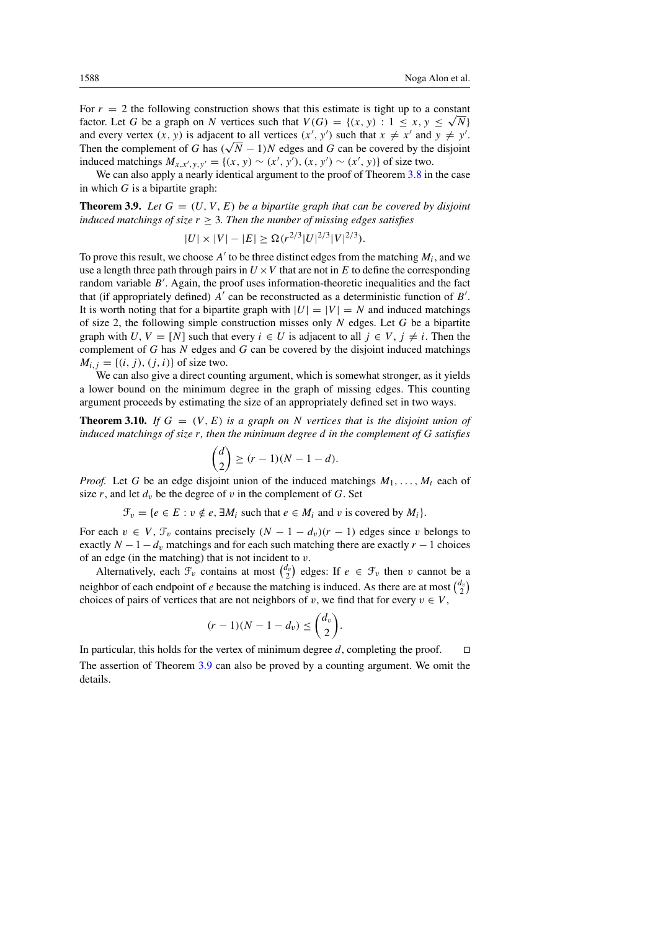For  $r = 2$  the following construction shows that this estimate is tight up to a constant factor. Let G be a graph on N vertices such that  $V(G) = \{(x, y) : 1 \le x, y \le \sqrt{N}\}\$ and every vertex  $(x, y)$  is adjacent to all vertices  $(x', y')$  such that  $x \neq x'$  and  $y \neq y'$ . Then the complement of G has  $(\sqrt{N} - 1)N$  edges and G can be covered by the disjoint induced matchings  $M_{x,x',y,y'} = \{(x, y) \sim (x', y'), (x, y') \sim (x', y)\}\)$  of size two.

We can also apply a nearly identical argument to the proof of Theorem [3.8](#page-12-2) in the case in which  $G$  is a bipartite graph:

<span id="page-13-0"></span>**Theorem 3.9.** Let  $G = (U, V, E)$  be a bipartite graph that can be covered by disjoint *induced matchings of size*  $r \geq 3$ *. Then the number of missing edges satisfies* 

$$
|U| \times |V| - |E| \ge \Omega(r^{2/3} |U|^{2/3} |V|^{2/3}).
$$

To prove this result, we choose  $A'$  to be three distinct edges from the matching  $M_i$ , and we use a length three path through pairs in  $U \times V$  that are not in E to define the corresponding random variable  $\vec{B}$ . Again, the proof uses information-theoretic inequalities and the fact that (if appropriately defined)  $\overrightarrow{A}$  can be reconstructed as a deterministic function of  $\overrightarrow{B}$ . It is worth noting that for a bipartite graph with  $|U| = |V| = N$  and induced matchings of size 2, the following simple construction misses only  $N$  edges. Let  $G$  be a bipartite graph with  $U, V = [N]$  such that every  $i \in U$  is adjacent to all  $j \in V$ ,  $j \neq i$ . Then the complement of G has  $N$  edges and  $G$  can be covered by the disjoint induced matchings  $M_{i,j} = \{(i, j), (j, i)\}\$ of size two.

We can also give a direct counting argument, which is somewhat stronger, as it yields a lower bound on the minimum degree in the graph of missing edges. This counting argument proceeds by estimating the size of an appropriately defined set in two ways.

**Theorem 3.10.** *If*  $G = (V, E)$  *is a graph on N vertices that is the disjoint union of induced matchings of size* r*, then the minimum degree* d *in the complement of* G *satisfies*

$$
\binom{d}{2} \ge (r-1)(N-1-d).
$$

*Proof.* Let G be an edge disjoint union of the induced matchings  $M_1, \ldots, M_t$  each of size r, and let  $d_v$  be the degree of v in the complement of G. Set

 $\mathcal{F}_v = \{e \in E : v \notin e, \exists M_i \text{ such that } e \in M_i \text{ and } v \text{ is covered by } M_i\}.$ 

For each  $v \in V$ ,  $\mathcal{F}_v$  contains precisely  $(N - 1 - d_v)(r - 1)$  edges since v belongs to exactly  $N - 1 - d<sub>v</sub>$  matchings and for each such matching there are exactly  $r - 1$  choices of an edge (in the matching) that is not incident to  $v$ .

Alternatively, each  $\mathcal{F}_v$  contains at most  $\binom{d_v}{2}$  edges: If  $e \in \mathcal{F}_v$  then v cannot be a neighbor of each endpoint of e because the matching is induced. As there are at most  $\binom{d_v}{2}$ choices of pairs of vertices that are not neighbors of v, we find that for every  $v \in V$ ,

$$
(r-1)(N-1-d_v) \leq \binom{d_v}{2}.
$$

In particular, this holds for the vertex of minimum degree d, completing the proof.  $\Box$ The assertion of Theorem [3.9](#page-13-0) can also be proved by a counting argument. We omit the details.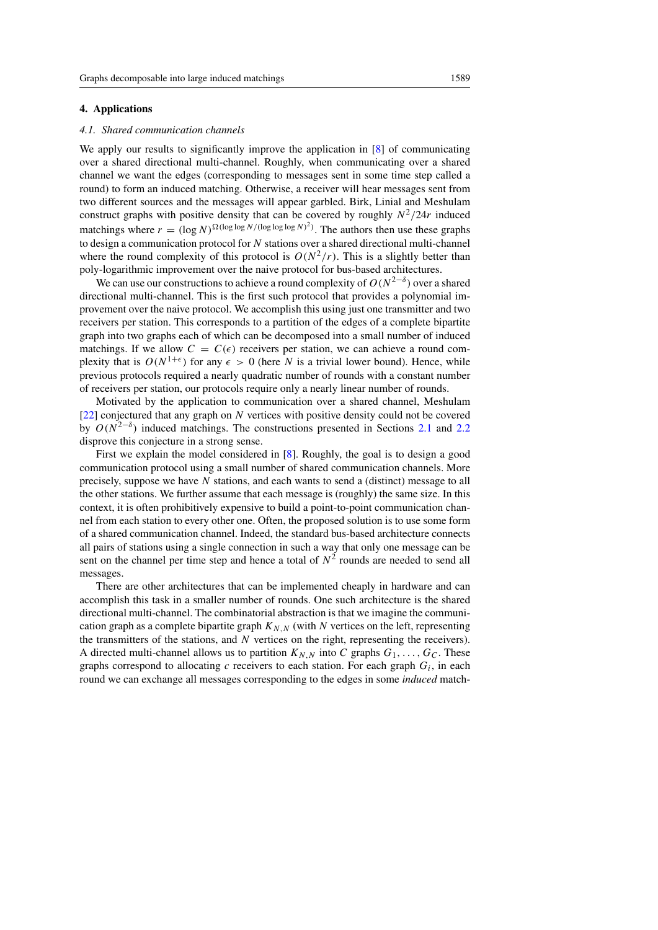### 4. Applications

### *4.1. Shared communication channels*

We apply our results to significantly improve the application in [\[8\]](#page-20-6) of communicating over a shared directional multi-channel. Roughly, when communicating over a shared channel we want the edges (corresponding to messages sent in some time step called a round) to form an induced matching. Otherwise, a receiver will hear messages sent from two different sources and the messages will appear garbled. Birk, Linial and Meshulam construct graphs with positive density that can be covered by roughly  $N^2/24r$  induced matchings where  $r = (\log N)^{\Omega(\log \log N/(\log \log \log N)^2)}$ . The authors then use these graphs to design a communication protocol for  $N$  stations over a shared directional multi-channel where the round complexity of this protocol is  $O(N^2/r)$ . This is a slightly better than poly-logarithmic improvement over the naive protocol for bus-based architectures.

We can use our constructions to achieve a round complexity of  $O(N^{2-\delta})$  over a shared directional multi-channel. This is the first such protocol that provides a polynomial improvement over the naive protocol. We accomplish this using just one transmitter and two receivers per station. This corresponds to a partition of the edges of a complete bipartite graph into two graphs each of which can be decomposed into a small number of induced matchings. If we allow  $C = C(\epsilon)$  receivers per station, we can achieve a round complexity that is  $O(N^{1+\epsilon})$  for any  $\epsilon > 0$  (here N is a trivial lower bound). Hence, while previous protocols required a nearly quadratic number of rounds with a constant number of receivers per station, our protocols require only a nearly linear number of rounds.

Motivated by the application to communication over a shared channel, Meshulam [\[22\]](#page-21-9) conjectured that any graph on N vertices with positive density could not be covered by  $O(N^{2-\delta})$  induced matchings. The constructions presented in Sections [2.1](#page-3-0) and [2.2](#page-6-0) disprove this conjecture in a strong sense.

First we explain the model considered in [\[8\]](#page-20-6). Roughly, the goal is to design a good communication protocol using a small number of shared communication channels. More precisely, suppose we have N stations, and each wants to send a (distinct) message to all the other stations. We further assume that each message is (roughly) the same size. In this context, it is often prohibitively expensive to build a point-to-point communication channel from each station to every other one. Often, the proposed solution is to use some form of a shared communication channel. Indeed, the standard bus-based architecture connects all pairs of stations using a single connection in such a way that only one message can be sent on the channel per time step and hence a total of  $N^2$  rounds are needed to send all messages.

There are other architectures that can be implemented cheaply in hardware and can accomplish this task in a smaller number of rounds. One such architecture is the shared directional multi-channel. The combinatorial abstraction is that we imagine the communication graph as a complete bipartite graph  $K_{N,N}$  (with N vertices on the left, representing the transmitters of the stations, and  $N$  vertices on the right, representing the receivers). A directed multi-channel allows us to partition  $K_{N,N}$  into C graphs  $G_1, \ldots, G_C$ . These graphs correspond to allocating  $c$  receivers to each station. For each graph  $G_i$ , in each round we can exchange all messages corresponding to the edges in some *induced* match-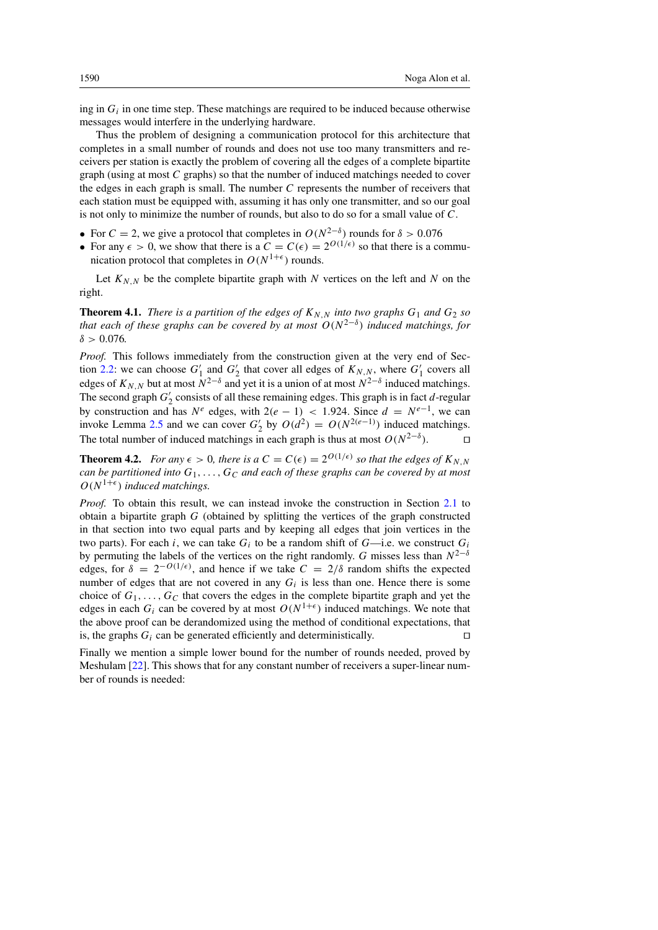ing in  $G_i$  in one time step. These matchings are required to be induced because otherwise messages would interfere in the underlying hardware.

Thus the problem of designing a communication protocol for this architecture that completes in a small number of rounds and does not use too many transmitters and receivers per station is exactly the problem of covering all the edges of a complete bipartite graph (using at most C graphs) so that the number of induced matchings needed to cover the edges in each graph is small. The number C represents the number of receivers that each station must be equipped with, assuming it has only one transmitter, and so our goal is not only to minimize the number of rounds, but also to do so for a small value of C.

- For  $C = 2$ , we give a protocol that completes in  $O(N^{2-\delta})$  rounds for  $\delta > 0.076$
- For any  $\epsilon > 0$ , we show that there is a  $C = C(\epsilon) = 2^{O(1/\epsilon)}$  so that there is a communication protocol that completes in  $O(N^{1+\epsilon})$  rounds.

Let  $K_{N,N}$  be the complete bipartite graph with N vertices on the left and N on the right.

**Theorem 4.1.** *There is a partition of the edges of*  $K_{N}$  *N into two graphs*  $G_1$  *and*  $G_2$  *so that each of these graphs can be covered by at most O(N<sup>2−8</sup>) induced matchings, for*  $\delta > 0.076$ .

*Proof.* This follows immediately from the construction given at the very end of Sec-tion [2.2:](#page-6-0) we can choose  $G'_1$  and  $G'_2$  that cover all edges of  $K_{N,N}$ , where  $G'_1$  covers all edges of  $K_{N,N}$  but at most  $N^{2-\delta}$  and yet it is a union of at most  $N^{2-\delta}$  induced matchings. The second graph  $G_2'$  consists of all these remaining edges. This graph is in fact d-regular by construction and has  $N^e$  edges, with  $2(e - 1) < 1.924$ . Since  $d = N^{e-1}$ , we can invoke Lemma [2.5](#page-5-0) and we can cover  $G'_2$  by  $O(d^2) = O(N^{2(e-1)})$  induced matchings. The total number of induced matchings in each graph is thus at most  $O(N^{2-\delta})$ .

<span id="page-15-0"></span>**Theorem 4.2.** *For any*  $\epsilon > 0$ *, there is a*  $C = C(\epsilon) = 2^{O(1/\epsilon)}$  *so that the edges of*  $K_{N,N}$ *can be partitioned into*  $G_1, \ldots, G_C$  *and each of these graphs can be covered by at most*  $O(N^{1+\epsilon})$  *induced matchings.* 

*Proof.* To obtain this result, we can instead invoke the construction in Section [2.1](#page-3-0) to obtain a bipartite graph G (obtained by splitting the vertices of the graph constructed in that section into two equal parts and by keeping all edges that join vertices in the two parts). For each *i*, we can take  $G_i$  to be a random shift of  $G$ —i.e. we construct  $G_i$ by permuting the labels of the vertices on the right randomly. G misses less than  $N^{2-\delta}$ edges, for  $\delta = 2^{-O(1/\epsilon)}$ , and hence if we take  $C = 2/\delta$  random shifts the expected number of edges that are not covered in any  $G_i$  is less than one. Hence there is some choice of  $G_1, \ldots, G_C$  that covers the edges in the complete bipartite graph and yet the edges in each  $G_i$  can be covered by at most  $O(N^{1+\epsilon})$  induced matchings. We note that the above proof can be derandomized using the method of conditional expectations, that is, the graphs  $G_i$  can be generated efficiently and deterministically.

Finally we mention a simple lower bound for the number of rounds needed, proved by Meshulam [\[22\]](#page-21-9). This shows that for any constant number of receivers a super-linear number of rounds is needed: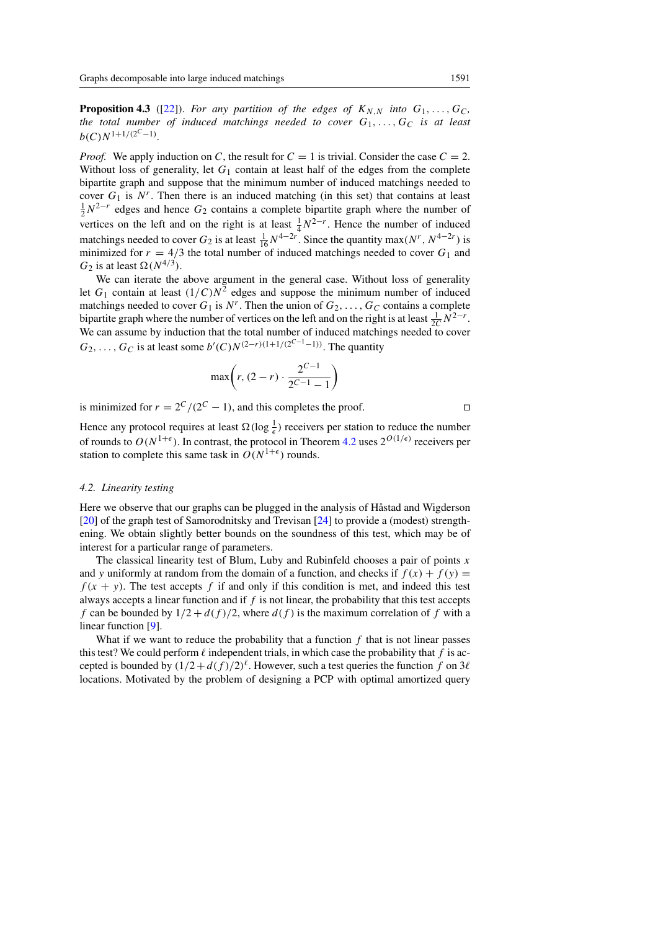**Proposition 4.3** ([\[22\]](#page-21-9)). *For any partition of the edges of*  $K_{N,N}$  *into*  $G_1, \ldots, G_C$ *, the total number of induced matchings needed to cover*  $G_1, \ldots, G_C$  *is at least*  $b(C)N^{1+1/(2^C-1)}$ .

*Proof.* We apply induction on C, the result for  $C = 1$  is trivial. Consider the case  $C = 2$ . Without loss of generality, let  $G_1$  contain at least half of the edges from the complete bipartite graph and suppose that the minimum number of induced matchings needed to cover  $G_1$  is  $N^r$ . Then there is an induced matching (in this set) that contains at least  $\frac{1}{2}N^{2-r}$  edges and hence  $G_2$  contains a complete bipartite graph where the number of vertices on the left and on the right is at least  $\frac{1}{4}N^{2-r}$ . Hence the number of induced matchings needed to cover  $G_2$  is at least  $\frac{1}{16}N^{4-2r}$ . Since the quantity max( $N^r$ ,  $N^{4-2r}$ ) is minimized for  $r = 4/3$  the total number of induced matchings needed to cover  $G_1$  and  $G_2$  is at least  $\Omega(N^{4/3})$ .

We can iterate the above argument in the general case. Without loss of generality let  $G_1$  contain at least  $(1/C)N^2$  edges and suppose the minimum number of induced matchings needed to cover  $G_1$  is  $N^r$ . Then the union of  $G_2, \ldots, G_C$  contains a complete bipartite graph where the number of vertices on the left and on the right is at least  $\frac{1}{2C}N^{2-r}$ . We can assume by induction that the total number of induced matchings needed to cover  $G_2, \ldots, G_C$  is at least some  $b'(C)N^{(2-r)(1+1/(2^{C-1}-1))}$ . The quantity

$$
\max\!\left(r, (2-r) \cdot \frac{2^{C-1}}{2^{C-1}-1}\right)
$$

is minimized for  $r = 2^C/(2^C - 1)$ , and this completes the proof.

Hence any protocol requires at least  $\Omega(\log \frac{1}{\epsilon})$  receivers per station to reduce the number of rounds to  $O(N^{1+\epsilon})$ . In contrast, the protocol in Theorem [4.2](#page-15-0) uses  $2^{O(1/\epsilon)}$  receivers per station to complete this same task in  $O(N^{1+\epsilon})$  rounds.

# *4.2. Linearity testing*

Here we observe that our graphs can be plugged in the analysis of Håstad and Wigderson [\[20\]](#page-21-6) of the graph test of Samorodnitsky and Trevisan [\[24\]](#page-21-7) to provide a (modest) strengthening. We obtain slightly better bounds on the soundness of this test, which may be of interest for a particular range of parameters.

The classical linearity test of Blum, Luby and Rubinfeld chooses a pair of points  $x$ and y uniformly at random from the domain of a function, and checks if  $f(x) + f(y) =$  $f(x + y)$ . The test accepts f if and only if this condition is met, and indeed this test always accepts a linear function and if  $f$  is not linear, the probability that this test accepts f can be bounded by  $1/2 + d(f)/2$ , where  $d(f)$  is the maximum correlation of f with a linear function [\[9\]](#page-20-8).

What if we want to reduce the probability that a function  $f$  that is not linear passes this test? We could perform  $\ell$  independent trials, in which case the probability that f is accepted is bounded by  $(1/2 + d(f)/2)^{\ell}$ . However, such a test queries the function f on 3 $\ell$ locations. Motivated by the problem of designing a PCP with optimal amortized query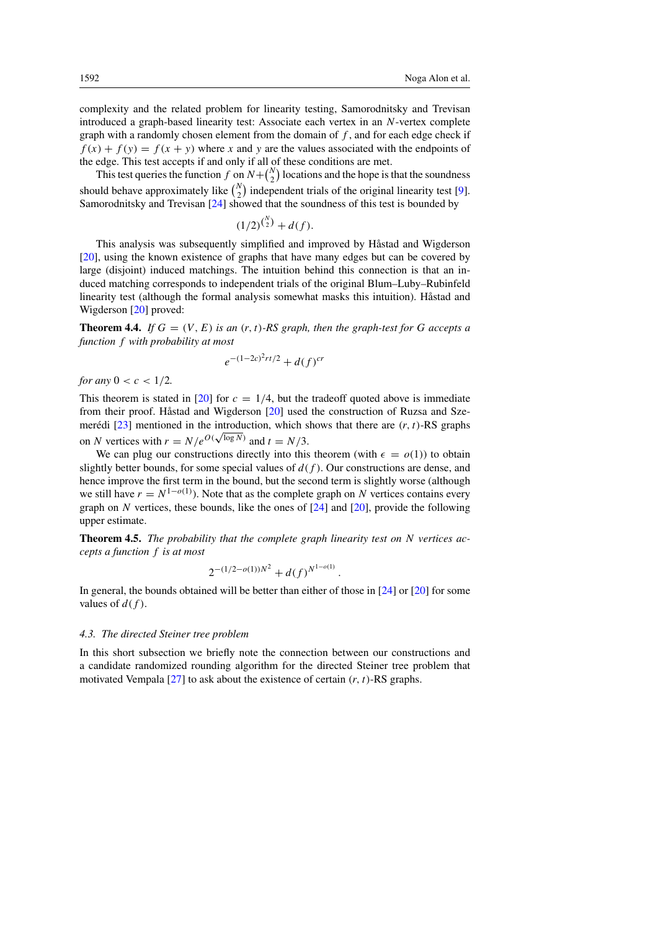complexity and the related problem for linearity testing, Samorodnitsky and Trevisan introduced a graph-based linearity test: Associate each vertex in an N-vertex complete graph with a randomly chosen element from the domain of  $f$ , and for each edge check if  $f(x) + f(y) = f(x + y)$  where x and y are the values associated with the endpoints of the edge. This test accepts if and only if all of these conditions are met.

This test queries the function  $f$  on  $N + {N \choose 2}$  locations and the hope is that the soundness should behave approximately like  $\binom{N}{2}$  independent trials of the original linearity test [\[9\]](#page-20-8). Samorodnitsky and Trevisan [\[24\]](#page-21-7) showed that the soundness of this test is bounded by

$$
(1/2)^{{N \choose 2}} + d(f).
$$

This analysis was subsequently simplified and improved by Håstad and Wigderson [\[20\]](#page-21-6), using the known existence of graphs that have many edges but can be covered by large (disjoint) induced matchings. The intuition behind this connection is that an induced matching corresponds to independent trials of the original Blum–Luby–Rubinfeld linearity test (although the formal analysis somewhat masks this intuition). Håstad and Wigderson [\[20\]](#page-21-6) proved:

**Theorem 4.4.** *If*  $G = (V, E)$  *is an*  $(r, t)$ *-RS graph, then the graph-test for*  $G$  *accepts a function* f *with probability at most*

$$
e^{-(1-2c)^2rt/2} + d(f)^{cr}
$$

*for any*  $0 < c < 1/2$ *.* 

This theorem is stated in [\[20\]](#page-21-6) for  $c = 1/4$ , but the tradeoff quoted above is immediate from their proof. Håstad and Wigderson  $[20]$  $[20]$  used the construction of Ruzsa and Sze-merédi [[23\]](#page-21-1) mentioned in the introduction, which shows that there are  $(r, t)$ -RS graphs meredi [23] mentioned in the introduction, which s<br>on N vertices with  $r = N/e^{O(\sqrt{\log N})}$  and  $t = N/3$ .

We can plug our constructions directly into this theorem (with  $\epsilon = o(1)$ ) to obtain slightly better bounds, for some special values of  $d(f)$ . Our constructions are dense, and hence improve the first term in the bound, but the second term is slightly worse (although we still have  $r = N^{1-o(1)}$ ). Note that as the complete graph on N vertices contains every graph on N vertices, these bounds, like the ones of  $[24]$  and  $[20]$ , provide the following upper estimate.

Theorem 4.5. *The probability that the complete graph linearity test on* N *vertices accepts a function* f *is at most*

$$
2^{-(1/2-o(1))N^2} + d(f)^{N^{1-o(1)}}.
$$

In general, the bounds obtained will be better than either of those in [\[24\]](#page-21-7) or [\[20\]](#page-21-6) for some values of  $d(f)$ .

### *4.3. The directed Steiner tree problem*

In this short subsection we briefly note the connection between our constructions and a candidate randomized rounding algorithm for the directed Steiner tree problem that motivated Vempala  $[27]$  to ask about the existence of certain  $(r, t)$ -RS graphs.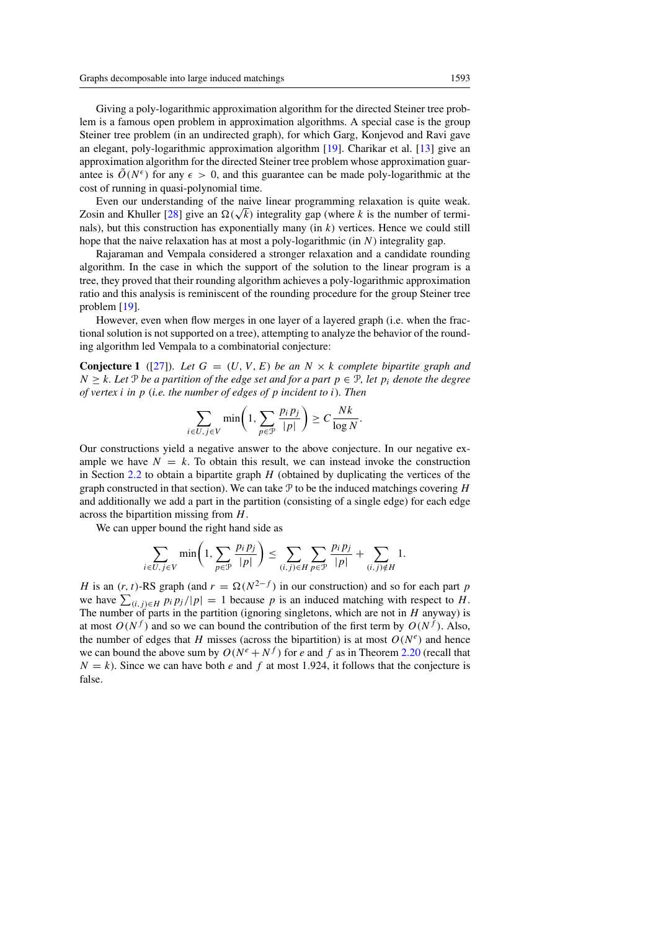Giving a poly-logarithmic approximation algorithm for the directed Steiner tree problem is a famous open problem in approximation algorithms. A special case is the group Steiner tree problem (in an undirected graph), for which Garg, Konjevod and Ravi gave an elegant, poly-logarithmic approximation algorithm [\[19\]](#page-21-14). Charikar et al. [\[13\]](#page-21-15) give an approximation algorithm for the directed Steiner tree problem whose approximation guarantee is  $\tilde{O}(N^{\epsilon})$  for any  $\epsilon > 0$ , and this guarantee can be made poly-logarithmic at the cost of running in quasi-polynomial time.

Even our understanding of the naive linear programming relaxation is quite weak. Even our understanding of the naive linear programming relaxation is quite weak.<br>Zosin and Khuller [\[28\]](#page-21-16) give an  $\Omega(\sqrt{k})$  integrality gap (where k is the number of terminals), but this construction has exponentially many (in  $k$ ) vertices. Hence we could still hope that the naive relaxation has at most a poly-logarithmic (in  $N$ ) integrality gap.

Rajaraman and Vempala considered a stronger relaxation and a candidate rounding algorithm. In the case in which the support of the solution to the linear program is a tree, they proved that their rounding algorithm achieves a poly-logarithmic approximation ratio and this analysis is reminiscent of the rounding procedure for the group Steiner tree problem [\[19\]](#page-21-14).

However, even when flow merges in one layer of a layered graph (i.e. when the fractional solution is not supported on a tree), attempting to analyze the behavior of the rounding algorithm led Vempala to a combinatorial conjecture:

**Conjecture 1** ([\[27\]](#page-21-12)). Let  $G = (U, V, E)$  be an  $N \times k$  complete bipartite graph and  $N \geq k$ *. Let*  $\mathcal{P}$  *be a partition of the edge set and for a part*  $p \in \mathcal{P}$ *, let*  $p_i$  *denote the degree of vertex* i *in* p (*i.e. the number of edges of* p *incident to* i)*. Then*

$$
\sum_{i \in U, j \in V} \min\left(1, \sum_{p \in \mathcal{P}} \frac{p_i p_j}{|p|}\right) \ge C \frac{Nk}{\log N}.
$$

Our constructions yield a negative answer to the above conjecture. In our negative example we have  $N = k$ . To obtain this result, we can instead invoke the construction in Section  $2.2$  to obtain a bipartite graph  $H$  (obtained by duplicating the vertices of the graph constructed in that section). We can take  $\mathcal P$  to be the induced matchings covering H and additionally we add a part in the partition (consisting of a single edge) for each edge across the bipartition missing from H.

We can upper bound the right hand side as

$$
\sum_{i \in U, j \in V} \min\left(1, \sum_{p \in \mathcal{P}} \frac{p_i p_j}{|p|}\right) \le \sum_{(i,j) \in H} \sum_{p \in \mathcal{P}} \frac{p_i p_j}{|p|} + \sum_{(i,j) \notin H} 1.
$$

H is an  $(r, t)$ -RS graph (and  $r = \Omega(N^{2-f})$  in our construction) and so for each part p we have  $\sum_{(i,j)\in H} p_i p_j / |p| = 1$  because p is an induced matching with respect to H. The number of parts in the partition (ignoring singletons, which are not in  $H$  anyway) is at most  $O(N^f)$  and so we can bound the contribution of the first term by  $O(N^f)$ . Also, the number of edges that H misses (across the bipartition) is at most  $O(N^e)$  and hence we can bound the above sum by  $O(N^e + N^f)$  for e and f as in Theorem [2.20](#page-9-0) (recall that  $N = k$ ). Since we can have both e and f at most 1.924, it follows that the conjecture is false.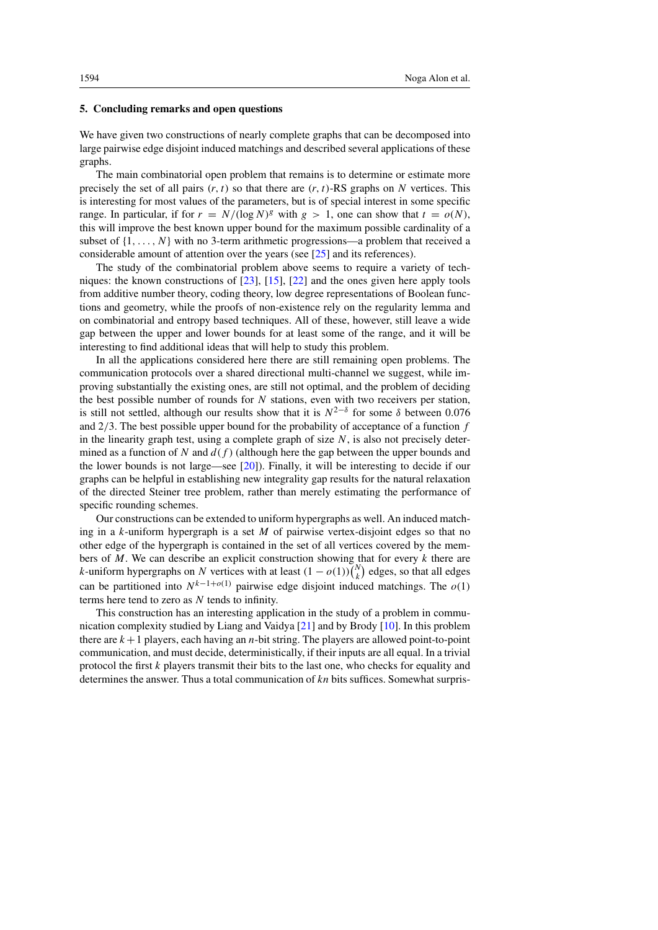#### 5. Concluding remarks and open questions

We have given two constructions of nearly complete graphs that can be decomposed into large pairwise edge disjoint induced matchings and described several applications of these graphs.

The main combinatorial open problem that remains is to determine or estimate more precisely the set of all pairs  $(r, t)$  so that there are  $(r, t)$ -RS graphs on N vertices. This is interesting for most values of the parameters, but is of special interest in some specific range. In particular, if for  $r = N/(\log N)^g$  with  $g > 1$ , one can show that  $t = o(N)$ , this will improve the best known upper bound for the maximum possible cardinality of a subset of  $\{1, \ldots, N\}$  with no 3-term arithmetic progressions—a problem that received a considerable amount of attention over the years (see [\[25\]](#page-21-17) and its references).

The study of the combinatorial problem above seems to require a variety of techniques: the known constructions of [\[23\]](#page-21-1), [\[15\]](#page-21-8), [\[22\]](#page-21-9) and the ones given here apply tools from additive number theory, coding theory, low degree representations of Boolean functions and geometry, while the proofs of non-existence rely on the regularity lemma and on combinatorial and entropy based techniques. All of these, however, still leave a wide gap between the upper and lower bounds for at least some of the range, and it will be interesting to find additional ideas that will help to study this problem.

In all the applications considered here there are still remaining open problems. The communication protocols over a shared directional multi-channel we suggest, while improving substantially the existing ones, are still not optimal, and the problem of deciding the best possible number of rounds for  $N$  stations, even with two receivers per station, is still not settled, although our results show that it is  $N^{2-\delta}$  for some  $\delta$  between 0.076 and  $2/3$ . The best possible upper bound for the probability of acceptance of a function f in the linearity graph test, using a complete graph of size  $N$ , is also not precisely determined as a function of N and  $d(f)$  (although here the gap between the upper bounds and the lower bounds is not large—see [\[20\]](#page-21-6)). Finally, it will be interesting to decide if our graphs can be helpful in establishing new integrality gap results for the natural relaxation of the directed Steiner tree problem, rather than merely estimating the performance of specific rounding schemes.

Our constructions can be extended to uniform hypergraphs as well. An induced matching in a  $k$ -uniform hypergraph is a set  $M$  of pairwise vertex-disjoint edges so that no other edge of the hypergraph is contained in the set of all vertices covered by the members of  $M$ . We can describe an explicit construction showing that for every  $k$  there are k-uniform hypergraphs on N vertices with at least  $(1 - o(1))\begin{pmatrix} N \\ k \end{pmatrix}$  edges, so that all edges can be partitioned into  $N^{k-1+o(1)}$  pairwise edge disjoint induced matchings. The  $o(1)$ terms here tend to zero as N tends to infinity.

This construction has an interesting application in the study of a problem in communication complexity studied by Liang and Vaidya [\[21\]](#page-21-18) and by Brody [\[10\]](#page-20-9). In this problem there are  $k+1$  players, each having an *n*-bit string. The players are allowed point-to-point communication, and must decide, deterministically, if their inputs are all equal. In a trivial protocol the first  $k$  players transmit their bits to the last one, who checks for equality and determines the answer. Thus a total communication of  $kn$  bits suffices. Somewhat surpris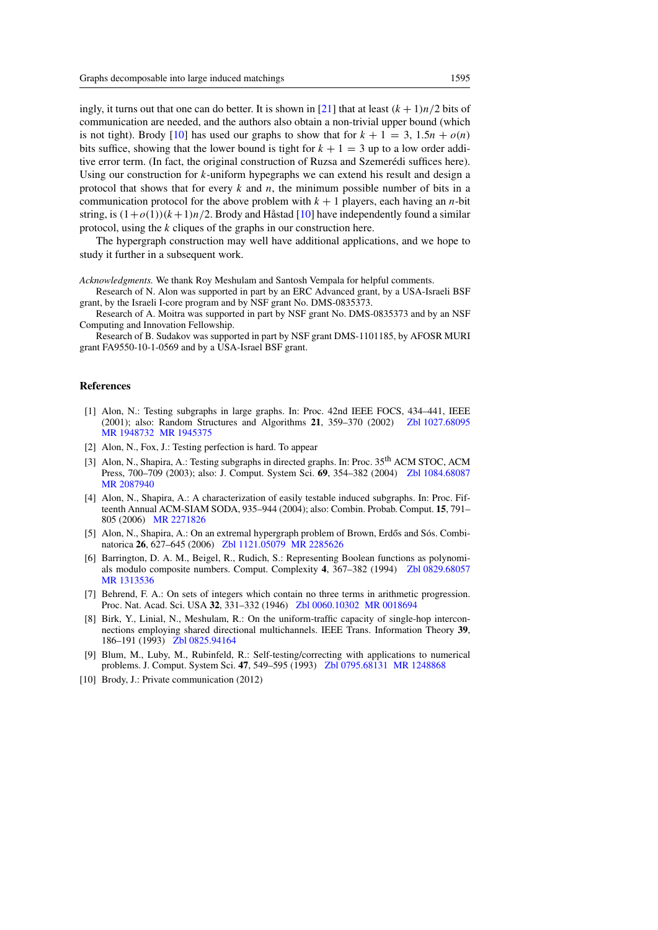ingly, it turns out that one can do better. It is shown in [\[21\]](#page-21-18) that at least  $(k + 1)n/2$  bits of communication are needed, and the authors also obtain a non-trivial upper bound (which is not tight). Brody [\[10\]](#page-20-9) has used our graphs to show that for  $k + 1 = 3$ ,  $1.5n + o(n)$ bits suffice, showing that the lower bound is tight for  $k + 1 = 3$  up to a low order additive error term. (In fact, the original construction of Ruzsa and Szemerédi suffices here). Using our construction for k-uniform hypegraphs we can extend his result and design a protocol that shows that for every k and n, the minimum possible number of bits in a communication protocol for the above problem with  $k + 1$  players, each having an *n*-bit string, is  $(1+o(1))(k+1)n/2$ . Brody and Håstad [[10\]](#page-20-9) have independently found a similar protocol, using the k cliques of the graphs in our construction here.

The hypergraph construction may well have additional applications, and we hope to study it further in a subsequent work.

*Acknowledgments.* We thank Roy Meshulam and Santosh Vempala for helpful comments.

Research of N. Alon was supported in part by an ERC Advanced grant, by a USA-Israeli BSF grant, by the Israeli I-core program and by NSF grant No. DMS-0835373.

Research of A. Moitra was supported in part by NSF grant No. DMS-0835373 and by an NSF Computing and Innovation Fellowship.

Research of B. Sudakov was supported in part by NSF grant DMS-1101185, by AFOSR MURI grant FA9550-10-1-0569 and by a USA-Israel BSF grant.

#### References

- <span id="page-20-2"></span>[1] Alon, N.: Testing subgraphs in large graphs. In: Proc. 42nd IEEE FOCS, 434–441, IEEE (2001); also: Random Structures and Algorithms 21, 359–370 (2002) [Zbl 1027.68095](http://www.zentralblatt-math.org/zmath/en/advanced/?q=an:1027.68095&format=complete) [MR 1948732](http://www.ams.org/mathscinet-getitem?mr=1948732) [MR 1945375](http://www.ams.org/mathscinet-getitem?mr=1945375)
- <span id="page-20-5"></span>[2] Alon, N., Fox, J.: Testing perfection is hard. To appear
- <span id="page-20-3"></span>[3] Alon, N., Shapira, A.: Testing subgraphs in directed graphs. In: Proc.  $35<sup>th</sup>$  ACM STOC, ACM Press, 700–709 (2003); also: J. Comput. System Sci. 69, 354–382 (2004) [Zbl 1084.68087](http://www.zentralblatt-math.org/zmath/en/advanced/?q=an:1084.68087&format=complete) [MR 2087940](http://www.ams.org/mathscinet-getitem?mr=2087940)
- <span id="page-20-4"></span>[4] Alon, N., Shapira, A.: A characterization of easily testable induced subgraphs. In: Proc. Fifteenth Annual ACM-SIAM SODA, 935–944 (2004); also: Combin. Probab. Comput. 15, 791– 805 (2006) [MR 2271826](http://www.ams.org/mathscinet-getitem?mr=2271826)
- <span id="page-20-1"></span>[5] Alon, N., Shapira, A.: On an extremal hypergraph problem of Brown, Erdős and Sós. Combinatorica 26, 627–645 (2006) [Zbl 1121.05079](http://www.zentralblatt-math.org/zmath/en/advanced/?q=an:1121.05079&format=complete) [MR 2285626](http://www.ams.org/mathscinet-getitem?mr=2285626)
- <span id="page-20-7"></span>[6] Barrington, D. A. M., Beigel, R., Rudich, S.: Representing Boolean functions as polynomials modulo composite numbers. Comput. Complexity 4, 367–382 (1994) [Zbl 0829.68057](http://www.zentralblatt-math.org/zmath/en/advanced/?q=an:0829.68057&format=complete) [MR 1313536](http://www.ams.org/mathscinet-getitem?mr=1313536)
- <span id="page-20-0"></span>[7] Behrend, F. A.: On sets of integers which contain no three terms in arithmetic progression. Proc. Nat. Acad. Sci. USA 32, 331–332 (1946) [Zbl 0060.10302](http://www.zentralblatt-math.org/zmath/en/advanced/?q=an:0060.10302&format=complete) [MR 0018694](http://www.ams.org/mathscinet-getitem?mr=0018694)
- <span id="page-20-6"></span>[8] Birk, Y., Linial, N., Meshulam, R.: On the uniform-traffic capacity of single-hop interconnections employing shared directional multichannels. IEEE Trans. Information Theory 39, 186–191 (1993) [Zbl 0825.94164](http://www.zentralblatt-math.org/zmath/en/advanced/?q=an:0825.94164&format=complete)
- <span id="page-20-8"></span>[9] Blum, M., Luby, M., Rubinfeld, R.: Self-testing/correcting with applications to numerical problems. J. Comput. System Sci. 47, 549–595 (1993) [Zbl 0795.68131](http://www.zentralblatt-math.org/zmath/en/advanced/?q=an:0795.68131&format=complete) [MR 1248868](http://www.ams.org/mathscinet-getitem?mr=1248868)
- <span id="page-20-9"></span>[10] Brody, J.: Private communication (2012)